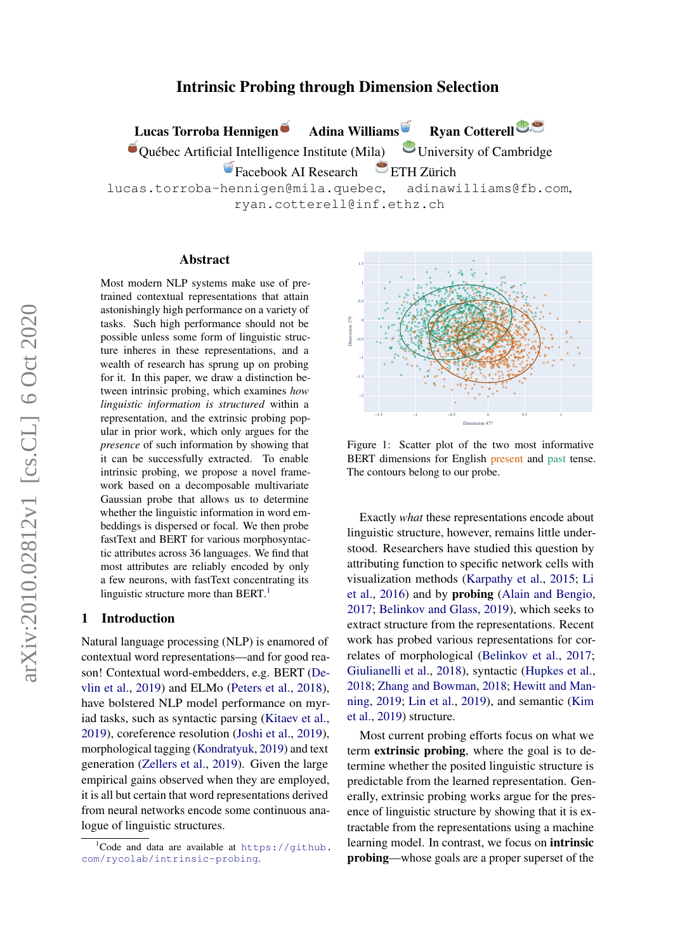# Intrinsic Probing through Dimension Selection

Lucas Torroba Hennigen Adina Williams Ryan Cotterell  $\bullet$  Québec Artificial Intelligence Institute (Mila)  $\bullet$  University of Cambridge Facebook AI Research ETH Zürich lucas.torroba-hennigen@mila.quebec, adinawilliams@fb.com, ryan.cotterell@inf.ethz.ch

#### Abstract

Most modern NLP systems make use of pretrained contextual representations that attain astonishingly high performance on a variety of tasks. Such high performance should not be possible unless some form of linguistic structure inheres in these representations, and a wealth of research has sprung up on probing for it. In this paper, we draw a distinction between intrinsic probing, which examines *how linguistic information is structured* within a representation, and the extrinsic probing popular in prior work, which only argues for the *presence* of such information by showing that it can be successfully extracted. To enable intrinsic probing, we propose a novel framework based on a decomposable multivariate Gaussian probe that allows us to determine whether the linguistic information in word embeddings is dispersed or focal. We then probe fastText and BERT for various morphosyntactic attributes across 36 languages. We find that most attributes are reliably encoded by only a few neurons, with fastText concentrating its linguistic structure more than BERT.<sup>[1](#page-0-0)</sup>

# 1 Introduction

Natural language processing (NLP) is enamored of contextual word representations—and for good reason! Contextual word-embedders, e.g. BERT [\(De](#page-9-0)[vlin et al.,](#page-9-0) [2019\)](#page-9-0) and ELMo [\(Peters et al.,](#page-11-0) [2018\)](#page-11-0), have bolstered NLP model performance on myriad tasks, such as syntactic parsing [\(Kitaev et al.,](#page-10-0) [2019\)](#page-10-0), coreference resolution [\(Joshi et al.,](#page-10-1) [2019\)](#page-10-1), morphological tagging [\(Kondratyuk,](#page-10-2) [2019\)](#page-10-2) and text generation [\(Zellers et al.,](#page-12-0) [2019\)](#page-12-0). Given the large empirical gains observed when they are employed, it is all but certain that word representations derived from neural networks encode some continuous analogue of linguistic structures.

<span id="page-0-1"></span>

Figure 1: Scatter plot of the two most informative BERT dimensions for English present and past tense. The contours belong to our probe.

Exactly *what* these representations encode about linguistic structure, however, remains little understood. Researchers have studied this question by attributing function to specific network cells with visualization methods [\(Karpathy et al.,](#page-10-3) [2015;](#page-10-3) [Li](#page-10-4) [et al.,](#page-10-4) [2016\)](#page-10-4) and by probing [\(Alain and Bengio,](#page-9-1) [2017;](#page-9-1) [Belinkov and Glass,](#page-9-2) [2019\)](#page-9-2), which seeks to extract structure from the representations. Recent work has probed various representations for correlates of morphological [\(Belinkov et al.,](#page-9-3) [2017;](#page-9-3) [Giulianelli et al.,](#page-9-4) [2018\)](#page-9-4), syntactic [\(Hupkes et al.,](#page-10-5) [2018;](#page-10-5) [Zhang and Bowman,](#page-13-0) [2018;](#page-13-0) [Hewitt and Man](#page-10-6)[ning,](#page-10-6) [2019;](#page-10-6) [Lin et al.,](#page-10-7) [2019\)](#page-10-7), and semantic [\(Kim](#page-10-8) [et al.,](#page-10-8) [2019\)](#page-10-8) structure.

Most current probing efforts focus on what we term extrinsic probing, where the goal is to determine whether the posited linguistic structure is predictable from the learned representation. Generally, extrinsic probing works argue for the presence of linguistic structure by showing that it is extractable from the representations using a machine learning model. In contrast, we focus on intrinsic probing—whose goals are a proper superset of the

<span id="page-0-0"></span> $1C$ ode and data are available at [https://github.](https://github.com/rycolab/intrinsic-probing) [com/rycolab/intrinsic-probing](https://github.com/rycolab/intrinsic-probing).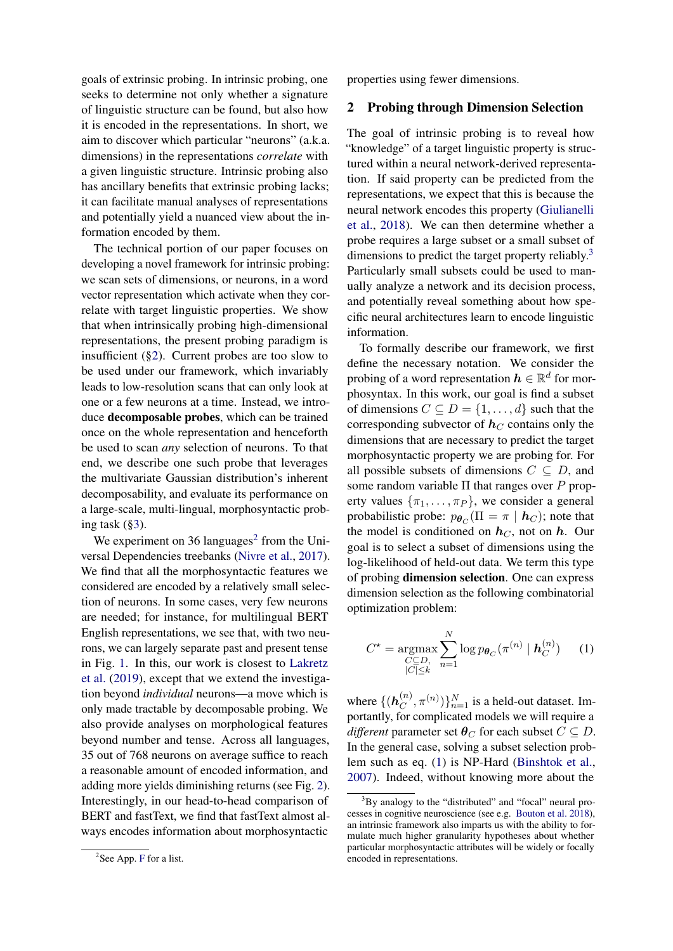goals of extrinsic probing. In intrinsic probing, one seeks to determine not only whether a signature of linguistic structure can be found, but also how it is encoded in the representations. In short, we aim to discover which particular "neurons" (a.k.a. dimensions) in the representations *correlate* with a given linguistic structure. Intrinsic probing also has ancillary benefits that extrinsic probing lacks; it can facilitate manual analyses of representations and potentially yield a nuanced view about the information encoded by them.

The technical portion of our paper focuses on developing a novel framework for intrinsic probing: we scan sets of dimensions, or neurons, in a word vector representation which activate when they correlate with target linguistic properties. We show that when intrinsically probing high-dimensional representations, the present probing paradigm is insufficient ([§2\)](#page-1-0). Current probes are too slow to be used under our framework, which invariably leads to low-resolution scans that can only look at one or a few neurons at a time. Instead, we introduce decomposable probes, which can be trained once on the whole representation and henceforth be used to scan *any* selection of neurons. To that end, we describe one such probe that leverages the multivariate Gaussian distribution's inherent decomposability, and evaluate its performance on a large-scale, multi-lingual, morphosyntactic probing task ([§3\)](#page-2-0).

We experiment on 36 languages<sup>[2](#page-1-1)</sup> from the Universal Dependencies treebanks [\(Nivre et al.,](#page-11-1) [2017\)](#page-11-1). We find that all the morphosyntactic features we considered are encoded by a relatively small selection of neurons. In some cases, very few neurons are needed; for instance, for multilingual BERT English representations, we see that, with two neurons, we can largely separate past and present tense in Fig. [1.](#page-0-1) In this, our work is closest to [Lakretz](#page-10-9) [et al.](#page-10-9) [\(2019\)](#page-10-9), except that we extend the investigation beyond *individual* neurons—a move which is only made tractable by decomposable probing. We also provide analyses on morphological features beyond number and tense. Across all languages, 35 out of 768 neurons on average suffice to reach a reasonable amount of encoded information, and adding more yields diminishing returns (see Fig. [2\)](#page-6-0). Interestingly, in our head-to-head comparison of BERT and fastText, we find that fastText almost always encodes information about morphosyntactic

properties using fewer dimensions.

### <span id="page-1-0"></span>2 Probing through Dimension Selection

The goal of intrinsic probing is to reveal how "knowledge" of a target linguistic property is structured within a neural network-derived representation. If said property can be predicted from the representations, we expect that this is because the neural network encodes this property [\(Giulianelli](#page-9-4) [et al.,](#page-9-4) [2018\)](#page-9-4). We can then determine whether a probe requires a large subset or a small subset of dimensions to predict the target property reliably.<sup>[3](#page-1-2)</sup> Particularly small subsets could be used to manually analyze a network and its decision process, and potentially reveal something about how specific neural architectures learn to encode linguistic information.

To formally describe our framework, we first define the necessary notation. We consider the probing of a word representation  $h \in \mathbb{R}^d$  for morphosyntax. In this work, our goal is find a subset of dimensions  $C \subseteq D = \{1, \ldots, d\}$  such that the corresponding subvector of  $h<sub>C</sub>$  contains only the dimensions that are necessary to predict the target morphosyntactic property we are probing for. For all possible subsets of dimensions  $C \subseteq D$ , and some random variable  $\Pi$  that ranges over P property values  $\{\pi_1, \ldots, \pi_P\}$ , we consider a general probabilistic probe:  $p_{\theta_C}(\Pi = \pi \mid \mathbf{h}_C)$ ; note that the model is conditioned on  $h<sub>C</sub>$ , not on h. Our goal is to select a subset of dimensions using the log-likelihood of held-out data. We term this type of probing dimension selection. One can express dimension selection as the following combinatorial optimization problem:

<span id="page-1-3"></span>
$$
C^* = \underset{\substack{C \subseteq D, \\ |C| \le k}}{\text{argmax}} \sum_{n=1}^N \log p_{\theta_C}(\pi^{(n)} \mid \mathbf{h}_C^{(n)}) \qquad (1)
$$

where  $\{(\boldsymbol{h}_C^{(n)}\})$  ${n \choose C}, \pi^{(n)}$   $\}$  $_{n=1}^N$  is a held-out dataset. Importantly, for complicated models we will require a *different* parameter set  $\theta_C$  for each subset  $C \subseteq D$ . In the general case, solving a subset selection problem such as eq. [\(1\)](#page-1-3) is NP-Hard [\(Binshtok et al.,](#page-9-5) [2007\)](#page-9-5). Indeed, without knowing more about the

<span id="page-1-1"></span><sup>&</sup>lt;sup>2</sup>See App. [F](#page-14-0) for a list.

<span id="page-1-2"></span> $3$ By analogy to the "distributed" and "focal" neural processes in cognitive neuroscience (see e.g. [Bouton et al.](#page-9-6) [2018\)](#page-9-6), an intrinsic framework also imparts us with the ability to formulate much higher granularity hypotheses about whether particular morphosyntactic attributes will be widely or focally encoded in representations.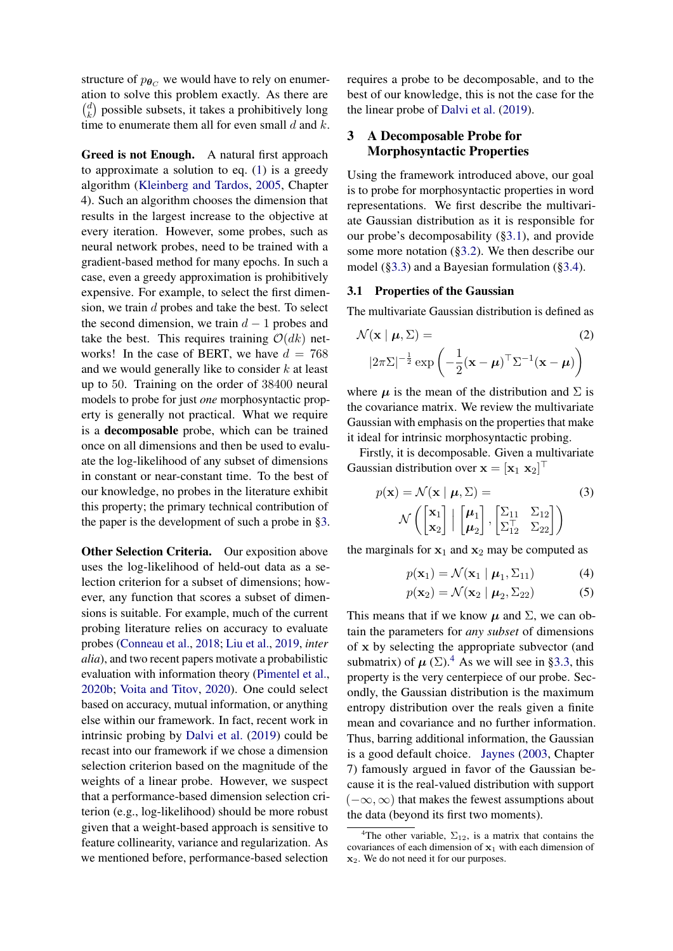structure of  $p_{\theta C}$  we would have to rely on enumeration to solve this problem exactly. As there are  $\binom{d}{b}$  $\binom{d}{k}$  possible subsets, it takes a prohibitively long time to enumerate them all for even small  $d$  and  $k$ .

Greed is not Enough. A natural first approach to approximate a solution to eq. [\(1\)](#page-1-3) is a greedy algorithm [\(Kleinberg and Tardos,](#page-10-10) [2005,](#page-10-10) Chapter 4). Such an algorithm chooses the dimension that results in the largest increase to the objective at every iteration. However, some probes, such as neural network probes, need to be trained with a gradient-based method for many epochs. In such a case, even a greedy approximation is prohibitively expensive. For example, to select the first dimension, we train d probes and take the best. To select the second dimension, we train  $d - 1$  probes and take the best. This requires training  $O(dk)$  networks! In the case of BERT, we have  $d = 768$ and we would generally like to consider  $k$  at least up to 50. Training on the order of 38400 neural models to probe for just *one* morphosyntactic property is generally not practical. What we require is a decomposable probe, which can be trained once on all dimensions and then be used to evaluate the log-likelihood of any subset of dimensions in constant or near-constant time. To the best of our knowledge, no probes in the literature exhibit this property; the primary technical contribution of the paper is the development of such a probe in [§3.](#page-2-0)

Other Selection Criteria. Our exposition above uses the log-likelihood of held-out data as a selection criterion for a subset of dimensions; however, any function that scores a subset of dimensions is suitable. For example, much of the current probing literature relies on accuracy to evaluate probes [\(Conneau et al.,](#page-9-7) [2018;](#page-9-7) [Liu et al.,](#page-11-2) [2019,](#page-11-2) *inter alia*), and two recent papers motivate a probabilistic evaluation with information theory [\(Pimentel et al.,](#page-12-1) [2020b;](#page-12-1) [Voita and Titov,](#page-12-2) [2020\)](#page-12-2). One could select based on accuracy, mutual information, or anything else within our framework. In fact, recent work in intrinsic probing by [Dalvi et al.](#page-9-8) [\(2019\)](#page-9-8) could be recast into our framework if we chose a dimension selection criterion based on the magnitude of the weights of a linear probe. However, we suspect that a performance-based dimension selection criterion (e.g., log-likelihood) should be more robust given that a weight-based approach is sensitive to feature collinearity, variance and regularization. As we mentioned before, performance-based selection

requires a probe to be decomposable, and to the best of our knowledge, this is not the case for the the linear probe of [Dalvi et al.](#page-9-8) [\(2019\)](#page-9-8).

# <span id="page-2-0"></span>3 A Decomposable Probe for Morphosyntactic Properties

Using the framework introduced above, our goal is to probe for morphosyntactic properties in word representations. We first describe the multivariate Gaussian distribution as it is responsible for our probe's decomposability ([§3.1\)](#page-2-1), and provide some more notation ([§3.2\)](#page-3-0). We then describe our model ([§3.3\)](#page-3-1) and a Bayesian formulation ([§3.4\)](#page-3-2).

# <span id="page-2-1"></span>3.1 Properties of the Gaussian

The multivariate Gaussian distribution is defined as

$$
\mathcal{N}(\mathbf{x} \mid \boldsymbol{\mu}, \boldsymbol{\Sigma}) = (2) |2\pi \boldsymbol{\Sigma}|^{-\frac{1}{2}} \exp\left(-\frac{1}{2}(\mathbf{x} - \boldsymbol{\mu})^{\top} \boldsymbol{\Sigma}^{-1}(\mathbf{x} - \boldsymbol{\mu})\right)
$$

where  $\mu$  is the mean of the distribution and  $\Sigma$  is the covariance matrix. We review the multivariate Gaussian with emphasis on the properties that make it ideal for intrinsic morphosyntactic probing.

Firstly, it is decomposable. Given a multivariate Gaussian distribution over  $\mathbf{x} = [\mathbf{x}_1 \ \mathbf{x}_2]^\top$ 

$$
p(\mathbf{x}) = \mathcal{N}(\mathbf{x} \mid \boldsymbol{\mu}, \boldsymbol{\Sigma}) =
$$
\n
$$
\mathcal{N}\left(\begin{bmatrix} \mathbf{x}_1 \\ \mathbf{x}_2 \end{bmatrix} \mid \begin{bmatrix} \boldsymbol{\mu}_1 \\ \boldsymbol{\mu}_2 \end{bmatrix}, \begin{bmatrix} \boldsymbol{\Sigma}_{11} & \boldsymbol{\Sigma}_{12} \\ \boldsymbol{\Sigma}_{12}^T & \boldsymbol{\Sigma}_{22} \end{bmatrix}\right)
$$
\n(3)

the marginals for  $x_1$  and  $x_2$  may be computed as

$$
p(\mathbf{x}_1) = \mathcal{N}(\mathbf{x}_1 \mid \boldsymbol{\mu}_1, \boldsymbol{\Sigma}_{11})
$$
 (4)

$$
p(\mathbf{x}_2) = \mathcal{N}(\mathbf{x}_2 \mid \boldsymbol{\mu}_2, \boldsymbol{\Sigma}_{22})
$$
 (5)

This means that if we know  $\mu$  and  $\Sigma$ , we can obtain the parameters for *any subset* of dimensions of x by selecting the appropriate subvector (and submatrix) of  $\mu$  ( $\Sigma$ ).<sup>[4](#page-2-2)</sup> As we will see in [§3.3,](#page-3-1) this property is the very centerpiece of our probe. Secondly, the Gaussian distribution is the maximum entropy distribution over the reals given a finite mean and covariance and no further information. Thus, barring additional information, the Gaussian is a good default choice. [Jaynes](#page-10-11) [\(2003,](#page-10-11) Chapter 7) famously argued in favor of the Gaussian because it is the real-valued distribution with support  $(-\infty, \infty)$  that makes the fewest assumptions about the data (beyond its first two moments).

<span id="page-2-2"></span><sup>&</sup>lt;sup>4</sup>The other variable,  $\Sigma_{12}$ , is a matrix that contains the covariances of each dimension of  $x_1$  with each dimension of  $x_2$ . We do not need it for our purposes.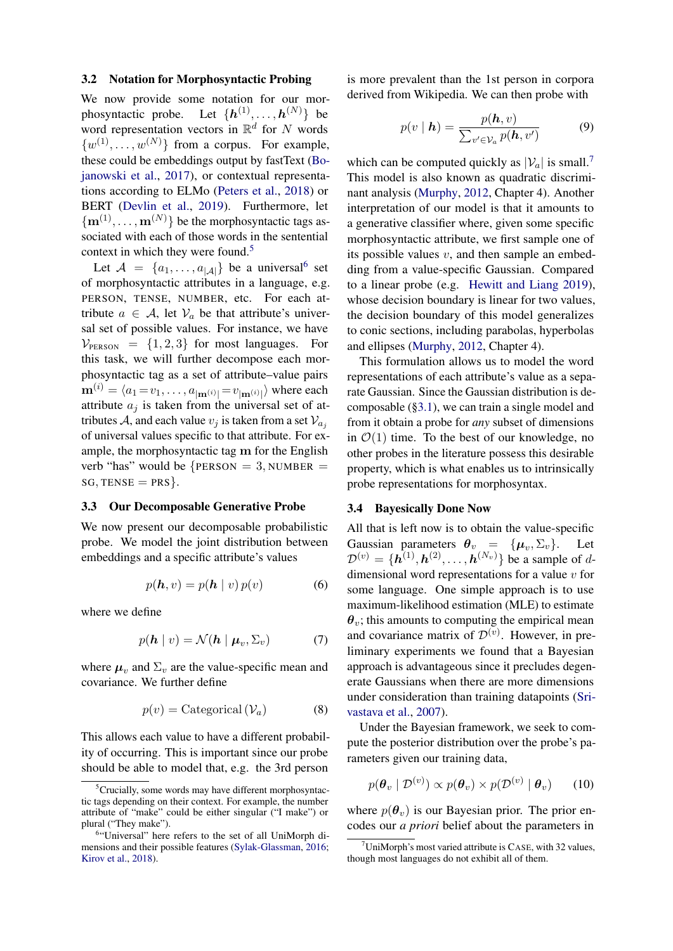#### <span id="page-3-0"></span>3.2 Notation for Morphosyntactic Probing

We now provide some notation for our morphosyntactic probe. Let  $\{h^{(1)}, \ldots, h^{(N)}\}\;$  be word representation vectors in  $\mathbb{R}^d$  for N words  $\{w^{(1)}, \ldots, w^{(N)}\}$  from a corpus. For example, these could be embeddings output by fastText [\(Bo](#page-9-9)[janowski et al.,](#page-9-9) [2017\)](#page-9-9), or contextual representations according to ELMo [\(Peters et al.,](#page-11-0) [2018\)](#page-11-0) or BERT [\(Devlin et al.,](#page-9-0) [2019\)](#page-9-0). Furthermore, let  $\{{\bf m}^{(1)},\ldots,{\bf m}^{(N)}\}$  be the morphosyntactic tags associated with each of those words in the sentential context in which they were found.<sup>[5](#page-3-3)</sup>

Let  $\mathcal{A} = \{a_1, \ldots, a_{|\mathcal{A}|}\}\$  be a universal<sup>[6](#page-3-4)</sup> set of morphosyntactic attributes in a language, e.g. PERSON, TENSE, NUMBER, etc. For each attribute  $a \in A$ , let  $V_a$  be that attribute's universal set of possible values. For instance, we have  $V_{\text{PERSON}} = \{1, 2, 3\}$  for most languages. For this task, we will further decompose each morphosyntactic tag as a set of attribute–value pairs  $\mathbf{m}^{(i)} = \langle a_1\!=\!v_1,\ldots,a_{|\mathbf{m}^{(i)}|}\!=\!v_{|\mathbf{m}^{(i)}|} \rangle$  where each attribute  $a_i$  is taken from the universal set of attributes A, and each value  $v_i$  is taken from a set  $V_{a_i}$ of universal values specific to that attribute. For example, the morphosyntactic tag m for the English verb "has" would be  ${PERSON = 3, NUMBER =}$  $SG, TENSE = PRS$ .

#### <span id="page-3-1"></span>3.3 Our Decomposable Generative Probe

We now present our decomposable probabilistic probe. We model the joint distribution between embeddings and a specific attribute's values

$$
p(\mathbf{h}, v) = p(\mathbf{h} \mid v) p(v) \tag{6}
$$

where we define

$$
p(\mathbf{h} \mid v) = \mathcal{N}(\mathbf{h} \mid \boldsymbol{\mu}_v, \boldsymbol{\Sigma}_v) \tag{7}
$$

where  $\mu_v$  and  $\Sigma_v$  are the value-specific mean and covariance. We further define

$$
p(v) = \text{Categorical} \left( \mathcal{V}_a \right) \tag{8}
$$

This allows each value to have a different probability of occurring. This is important since our probe should be able to model that, e.g. the 3rd person

is more prevalent than the 1st person in corpora derived from Wikipedia. We can then probe with

$$
p(v \mid \mathbf{h}) = \frac{p(\mathbf{h}, v)}{\sum_{v' \in V_a} p(\mathbf{h}, v')} \tag{9}
$$

which can be computed quickly as  $|\mathcal{V}_a|$  is small.<sup>[7](#page-3-5)</sup> This model is also known as quadratic discriminant analysis [\(Murphy,](#page-11-3) [2012,](#page-11-3) Chapter 4). Another interpretation of our model is that it amounts to a generative classifier where, given some specific morphosyntactic attribute, we first sample one of its possible values  $v$ , and then sample an embedding from a value-specific Gaussian. Compared to a linear probe (e.g. [Hewitt and Liang](#page-10-13) [2019\)](#page-10-13), whose decision boundary is linear for two values, the decision boundary of this model generalizes to conic sections, including parabolas, hyperbolas and ellipses [\(Murphy,](#page-11-3) [2012,](#page-11-3) Chapter 4).

This formulation allows us to model the word representations of each attribute's value as a separate Gaussian. Since the Gaussian distribution is decomposable ([§3.1\)](#page-2-1), we can train a single model and from it obtain a probe for *any* subset of dimensions in  $\mathcal{O}(1)$  time. To the best of our knowledge, no other probes in the literature possess this desirable property, which is what enables us to intrinsically probe representations for morphosyntax.

#### <span id="page-3-2"></span>3.4 Bayesically Done Now

All that is left now is to obtain the value-specific Gaussian parameters  $\theta_v = {\mu_v, \Sigma_v}.$  Let  $\mathcal{D}^{(v)} = \{\mathbf{h}^{(1)}, \mathbf{h}^{(2)}, \dots, \mathbf{h}^{(N_v)}\}$  be a sample of ddimensional word representations for a value  $v$  for some language. One simple approach is to use maximum-likelihood estimation (MLE) to estimate  $\theta_v$ ; this amounts to computing the empirical mean and covariance matrix of  $\mathcal{D}^{(v)}$ . However, in preliminary experiments we found that a Bayesian approach is advantageous since it precludes degenerate Gaussians when there are more dimensions under consideration than training datapoints [\(Sri](#page-12-4)[vastava et al.,](#page-12-4) [2007\)](#page-12-4).

Under the Bayesian framework, we seek to compute the posterior distribution over the probe's parameters given our training data,

$$
p(\boldsymbol{\theta}_v \mid \mathcal{D}^{(v)}) \propto p(\boldsymbol{\theta}_v) \times p(\mathcal{D}^{(v)} \mid \boldsymbol{\theta}_v) \qquad (10)
$$

where  $p(\theta_n)$  is our Bayesian prior. The prior encodes our *a priori* belief about the parameters in

<span id="page-3-3"></span> ${}^{5}$ Crucially, some words may have different morphosyntactic tags depending on their context. For example, the number attribute of "make" could be either singular ("I make") or plural ("They make").

<span id="page-3-4"></span><sup>6</sup> "Universal" here refers to the set of all UniMorph dimensions and their possible features [\(Sylak-Glassman,](#page-12-3) [2016;](#page-12-3) [Kirov et al.,](#page-10-12) [2018\)](#page-10-12).

<span id="page-3-5"></span> $7$ UniMorph's most varied attribute is CASE, with 32 values, though most languages do not exhibit all of them.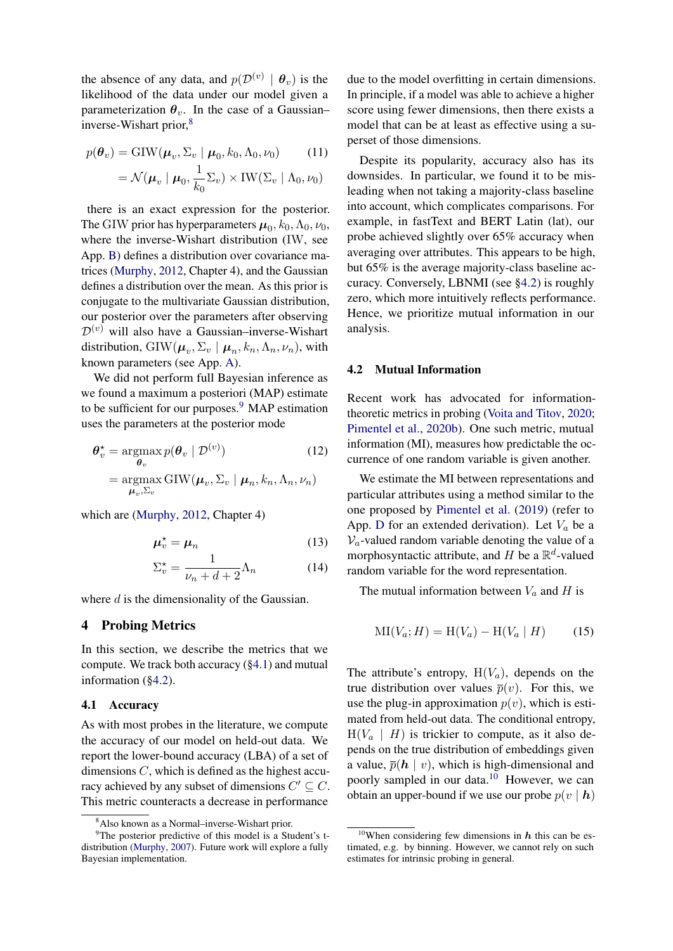the absence of any data, and  $p(\mathcal{D}^{(v)} | \theta_v)$  is the likelihood of the data under our model given a parameterization  $\theta_v$ . In the case of a Gaussian– inverse-Wishart prior,<sup>[8](#page-4-0)</sup>

$$
p(\theta_v) = \text{GIW}(\mu_v, \Sigma_v \mid \mu_0, k_0, \Lambda_0, \nu_0)
$$
 (11)  

$$
= \mathcal{N}(\mu_v \mid \mu_0, \frac{1}{k_0} \Sigma_v) \times \text{IW}(\Sigma_v \mid \Lambda_0, \nu_0)
$$

there is an exact expression for the posterior. The GIW prior has hyperparameters  $\mu_0$ ,  $k_0$ ,  $\Lambda_0$ ,  $\nu_0$ , where the inverse-Wishart distribution (IW, see App. [B\)](#page-13-1) defines a distribution over covariance matrices [\(Murphy,](#page-11-3) [2012,](#page-11-3) Chapter 4), and the Gaussian defines a distribution over the mean. As this prior is conjugate to the multivariate Gaussian distribution, our posterior over the parameters after observing  $\mathcal{D}^{(v)}$  will also have a Gaussian–inverse-Wishart distribution,  $\text{GIW}(\boldsymbol{\mu}_v, \Sigma_v \mid \boldsymbol{\mu}_n, k_n, \Lambda_n, \nu_n)$ , with known parameters (see App. [A\)](#page-13-2).

We did not perform full Bayesian inference as we found a maximum a posteriori (MAP) estimate to be sufficient for our purposes.<sup>[9](#page-4-1)</sup> MAP estimation uses the parameters at the posterior mode

$$
\theta_v^* = \operatorname*{argmax}_{\theta_v} p(\theta_v | \mathcal{D}^{(v)})
$$
\n
$$
= \operatorname*{argmax}_{\boldsymbol{\mu}_v, \Sigma_v} \text{GIW}(\boldsymbol{\mu}_v, \Sigma_v | \boldsymbol{\mu}_n, k_n, \Lambda_n, \nu_n)
$$
\n(12)

which are [\(Murphy,](#page-11-3) [2012,](#page-11-3) Chapter 4)

$$
\mu_v^* = \mu_n \tag{13}
$$

$$
\Sigma_v^* = \frac{1}{\nu_n + d + 2} \Lambda_n \tag{14}
$$

where  $d$  is the dimensionality of the Gaussian.

# 4 Probing Metrics

In this section, we describe the metrics that we compute. We track both accuracy ([§4.1\)](#page-4-2) and mutual information ([§4.2\)](#page-4-3).

#### <span id="page-4-2"></span>4.1 Accuracy

As with most probes in the literature, we compute the accuracy of our model on held-out data. We report the lower-bound accuracy (LBA) of a set of dimensions  $C$ , which is defined as the highest accuracy achieved by any subset of dimensions  $C' \subseteq C$ . This metric counteracts a decrease in performance

due to the model overfitting in certain dimensions. In principle, if a model was able to achieve a higher score using fewer dimensions, then there exists a model that can be at least as effective using a superset of those dimensions.

Despite its popularity, accuracy also has its downsides. In particular, we found it to be misleading when not taking a majority-class baseline into account, which complicates comparisons. For example, in fastText and BERT Latin (lat), our probe achieved slightly over 65% accuracy when averaging over attributes. This appears to be high, but 65% is the average majority-class baseline accuracy. Conversely, LBNMI (see [§4.2\)](#page-4-3) is roughly zero, which more intuitively reflects performance. Hence, we prioritize mutual information in our analysis.

#### <span id="page-4-3"></span>4.2 Mutual Information

Recent work has advocated for informationtheoretic metrics in probing [\(Voita and Titov,](#page-12-2) [2020;](#page-12-2) [Pimentel et al.,](#page-12-1) [2020b\)](#page-12-1). One such metric, mutual information (MI), measures how predictable the occurrence of one random variable is given another.

We estimate the MI between representations and particular attributes using a method similar to the one proposed by [Pimentel et al.](#page-12-5) [\(2019\)](#page-12-5) (refer to App. [D](#page-14-1) for an extended derivation). Let  $V_a$  be a  $V_a$ -valued random variable denoting the value of a morphosyntactic attribute, and H be a  $\mathbb{R}^d$ -valued random variable for the word representation.

The mutual information between  $V_a$  and  $H$  is

<span id="page-4-5"></span>
$$
MI(V_a; H) = H(V_a) - H(V_a \mid H)
$$
 (15)

The attribute's entropy,  $H(V_a)$ , depends on the true distribution over values  $\bar{p}(v)$ . For this, we use the plug-in approximation  $p(v)$ , which is estimated from held-out data. The conditional entropy,  $H(V_a \mid H)$  is trickier to compute, as it also depends on the true distribution of embeddings given a value,  $\overline{p}(\mathbf{h} \mid v)$ , which is high-dimensional and poorly sampled in our data.<sup>[10](#page-4-4)</sup> However, we can obtain an upper-bound if we use our probe  $p(v | h)$ 

<span id="page-4-1"></span><span id="page-4-0"></span><sup>8</sup>Also known as a Normal–inverse-Wishart prior.

<sup>&</sup>lt;sup>9</sup>The posterior predictive of this model is a Student's tdistribution [\(Murphy,](#page-11-4) [2007\)](#page-11-4). Future work will explore a fully Bayesian implementation.

<span id="page-4-4"></span><sup>&</sup>lt;sup>10</sup>When considering few dimensions in  $h$  this can be estimated, e.g. by binning. However, we cannot rely on such estimates for intrinsic probing in general.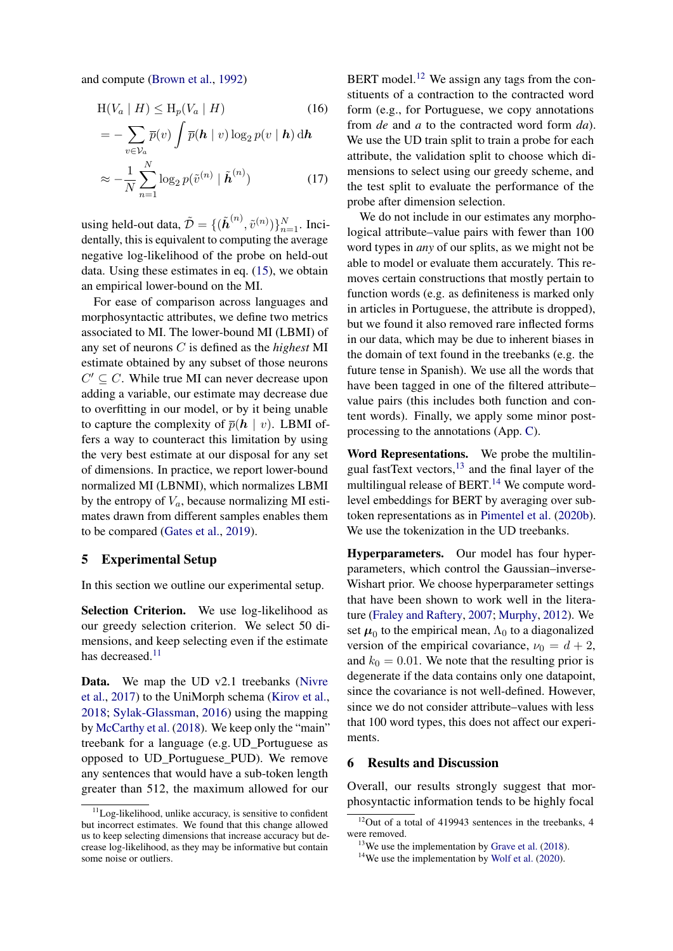and compute [\(Brown et al.,](#page-9-10) [1992\)](#page-9-10)

$$
H(V_a | H) \le H_p(V_a | H)
$$
\n
$$
= -\sum_{v \in V_a} \overline{p}(v) \int \overline{p}(\mathbf{h} | v) \log_2 p(v | \mathbf{h}) \, d\mathbf{h}
$$
\n
$$
\approx -\frac{1}{N} \sum_{n=1}^N \log_2 p(\tilde{v}^{(n)} | \tilde{\mathbf{h}}^{(n)}) \tag{17}
$$

using held-out data,  $\tilde{\mathcal{D}} = \{(\tilde{\boldsymbol{h}}^{(n)}, \tilde{v}^{(n)})\}_{n=1}^N$ . Incidentally, this is equivalent to computing the average negative log-likelihood of the probe on held-out data. Using these estimates in eq. [\(15\)](#page-4-5), we obtain an empirical lower-bound on the MI.

For ease of comparison across languages and morphosyntactic attributes, we define two metrics associated to MI. The lower-bound MI (LBMI) of any set of neurons C is defined as the *highest* MI estimate obtained by any subset of those neurons  $C' \subseteq C$ . While true MI can never decrease upon adding a variable, our estimate may decrease due to overfitting in our model, or by it being unable to capture the complexity of  $\overline{p}(h \mid v)$ . LBMI offers a way to counteract this limitation by using the very best estimate at our disposal for any set of dimensions. In practice, we report lower-bound normalized MI (LBNMI), which normalizes LBMI by the entropy of  $V_a$ , because normalizing MI estimates drawn from different samples enables them to be compared [\(Gates et al.,](#page-9-11) [2019\)](#page-9-11).

#### 5 Experimental Setup

In this section we outline our experimental setup.

Selection Criterion. We use log-likelihood as our greedy selection criterion. We select 50 dimensions, and keep selecting even if the estimate has decreased. $11$ 

Data. We map the UD v2.1 treebanks [\(Nivre](#page-11-1) [et al.,](#page-11-1) [2017\)](#page-11-1) to the UniMorph schema [\(Kirov et al.,](#page-10-12) [2018;](#page-10-12) [Sylak-Glassman,](#page-12-3) [2016\)](#page-12-3) using the mapping by [McCarthy et al.](#page-11-5) [\(2018\)](#page-11-5). We keep only the "main" treebank for a language (e.g. UD\_Portuguese as opposed to UD\_Portuguese\_PUD). We remove any sentences that would have a sub-token length greater than 512, the maximum allowed for our

BERT model.<sup>[12](#page-5-1)</sup> We assign any tags from the constituents of a contraction to the contracted word form (e.g., for Portuguese, we copy annotations from *de* and *a* to the contracted word form *da*). We use the UD train split to train a probe for each attribute, the validation split to choose which dimensions to select using our greedy scheme, and the test split to evaluate the performance of the probe after dimension selection.

We do not include in our estimates any morphological attribute–value pairs with fewer than 100 word types in *any* of our splits, as we might not be able to model or evaluate them accurately. This removes certain constructions that mostly pertain to function words (e.g. as definiteness is marked only in articles in Portuguese, the attribute is dropped), but we found it also removed rare inflected forms in our data, which may be due to inherent biases in the domain of text found in the treebanks (e.g. the future tense in Spanish). We use all the words that have been tagged in one of the filtered attribute– value pairs (this includes both function and content words). Finally, we apply some minor postprocessing to the annotations (App. [C\)](#page-13-3).

Word Representations. We probe the multilin-gual fastText vectors,<sup>[13](#page-5-2)</sup> and the final layer of the multilingual release of BERT. $<sup>14</sup>$  $<sup>14</sup>$  $<sup>14</sup>$  We compute word-</sup> level embeddings for BERT by averaging over subtoken representations as in [Pimentel et al.](#page-12-1) [\(2020b\)](#page-12-1). We use the tokenization in the UD treebanks.

Hyperparameters. Our model has four hyperparameters, which control the Gaussian–inverse-Wishart prior. We choose hyperparameter settings that have been shown to work well in the literature [\(Fraley and Raftery,](#page-9-12) [2007;](#page-9-12) [Murphy,](#page-11-3) [2012\)](#page-11-3). We set  $\mu_0$  to the empirical mean,  $\Lambda_0$  to a diagonalized version of the empirical covariance,  $\nu_0 = d + 2$ , and  $k_0 = 0.01$ . We note that the resulting prior is degenerate if the data contains only one datapoint, since the covariance is not well-defined. However, since we do not consider attribute–values with less that 100 word types, this does not affect our experiments.

### 6 Results and Discussion

Overall, our results strongly suggest that morphosyntactic information tends to be highly focal

<span id="page-5-0"></span><sup>&</sup>lt;sup>11</sup>Log-likelihood, unlike accuracy, is sensitive to confident but incorrect estimates. We found that this change allowed us to keep selecting dimensions that increase accuracy but decrease log-likelihood, as they may be informative but contain some noise or outliers.

<span id="page-5-1"></span> $12$ Out of a total of 419943 sentences in the treebanks, 4 were removed.

<span id="page-5-2"></span> $13$  We use the implementation by [Grave et al.](#page-9-13) [\(2018\)](#page-9-13).

<span id="page-5-3"></span> $14$ We use the implementation by [Wolf et al.](#page-12-6) [\(2020\)](#page-12-6).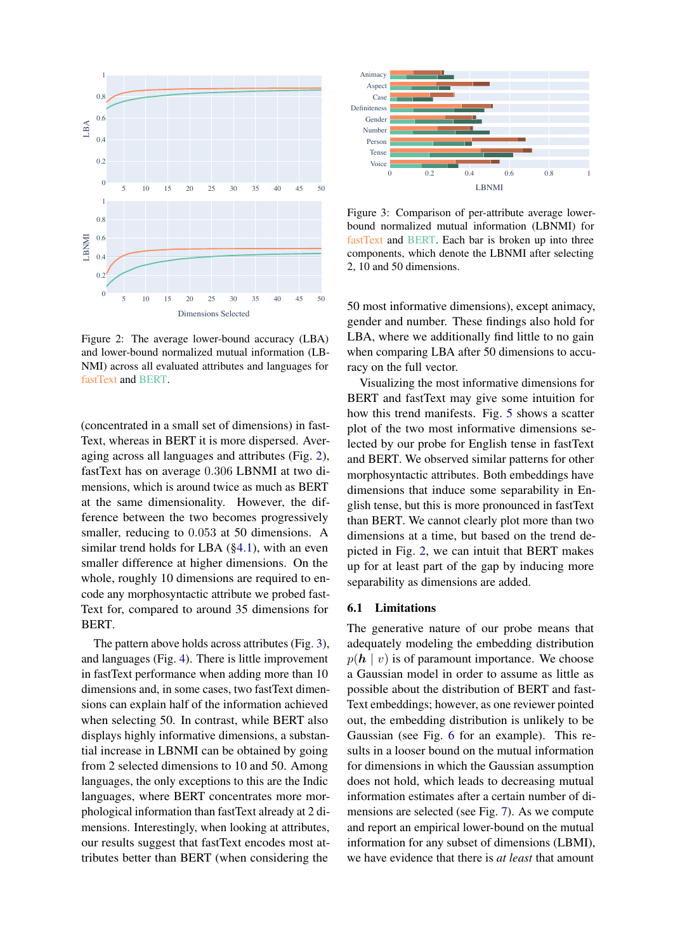<span id="page-6-0"></span>

Figure 2: The average lower-bound accuracy (LBA) and lower-bound normalized mutual information (LB-NMI) across all evaluated attributes and languages for fastText and BERT.

(concentrated in a small set of dimensions) in fast-Text, whereas in BERT it is more dispersed. Averaging across all languages and attributes (Fig. [2\)](#page-6-0), fastText has on average 0.306 LBNMI at two dimensions, which is around twice as much as BERT at the same dimensionality. However, the difference between the two becomes progressively smaller, reducing to 0.053 at 50 dimensions. A similar trend holds for LBA ([§4.1\)](#page-4-2), with an even smaller difference at higher dimensions. On the whole, roughly 10 dimensions are required to encode any morphosyntactic attribute we probed fast-Text for, compared to around 35 dimensions for BERT.

The pattern above holds across attributes (Fig. [3\)](#page-6-1), and languages (Fig. [4\)](#page-7-0). There is little improvement in fastText performance when adding more than 10 dimensions and, in some cases, two fastText dimensions can explain half of the information achieved when selecting 50. In contrast, while BERT also displays highly informative dimensions, a substantial increase in LBNMI can be obtained by going from 2 selected dimensions to 10 and 50. Among languages, the only exceptions to this are the Indic languages, where BERT concentrates more morphological information than fastText already at 2 dimensions. Interestingly, when looking at attributes, our results suggest that fastText encodes most attributes better than BERT (when considering the

<span id="page-6-1"></span>

Figure 3: Comparison of per-attribute average lowerbound normalized mutual information (LBNMI) for fastText and BERT. Each bar is broken up into three components, which denote the LBNMI after selecting 2, 10 and 50 dimensions.

50 most informative dimensions), except animacy, gender and number. These findings also hold for LBA, where we additionally find little to no gain when comparing LBA after 50 dimensions to accuracy on the full vector.

Visualizing the most informative dimensions for BERT and fastText may give some intuition for how this trend manifests. Fig. [5](#page-7-1) shows a scatter plot of the two most informative dimensions selected by our probe for English tense in fastText and BERT. We observed similar patterns for other morphosyntactic attributes. Both embeddings have dimensions that induce some separability in English tense, but this is more pronounced in fastText than BERT. We cannot clearly plot more than two dimensions at a time, but based on the trend depicted in Fig. [2,](#page-6-0) we can intuit that BERT makes up for at least part of the gap by inducing more separability as dimensions are added.

#### 6.1 Limitations

The generative nature of our probe means that adequately modeling the embedding distribution  $p(h | v)$  is of paramount importance. We choose a Gaussian model in order to assume as little as possible about the distribution of BERT and fast-Text embeddings; however, as one reviewer pointed out, the embedding distribution is unlikely to be Gaussian (see Fig. [6](#page-8-0) for an example). This results in a looser bound on the mutual information for dimensions in which the Gaussian assumption does not hold, which leads to decreasing mutual information estimates after a certain number of dimensions are selected (see Fig. [7\)](#page-8-1). As we compute and report an empirical lower-bound on the mutual information for any subset of dimensions (LBMI), we have evidence that there is *at least* that amount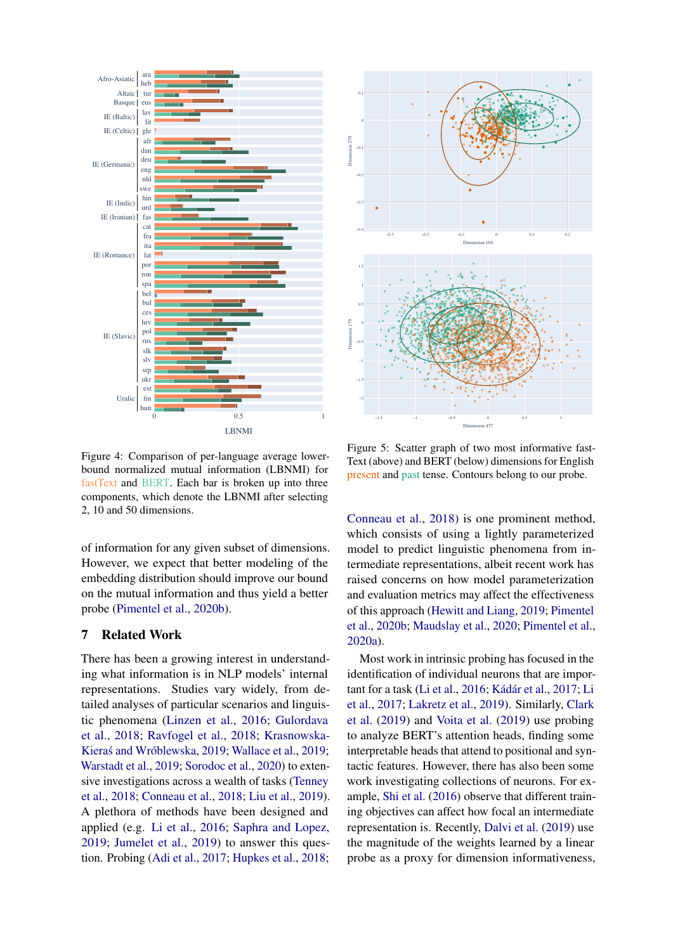<span id="page-7-0"></span>

<span id="page-7-1"></span>

Figure 4: Comparison of per-language average lowerbound normalized mutual information (LBNMI) for fastText and BERT. Each bar is broken up into three components, which denote the LBNMI after selecting 2, 10 and 50 dimensions.

of information for any given subset of dimensions. However, we expect that better modeling of the embedding distribution should improve our bound on the mutual information and thus yield a better probe [\(Pimentel et al.,](#page-12-1) [2020b\)](#page-12-1).

# 7 Related Work

There has been a growing interest in understanding what information is in NLP models' internal representations. Studies vary widely, from detailed analyses of particular scenarios and linguistic phenomena [\(Linzen et al.,](#page-11-6) [2016;](#page-11-6) [Gulordava](#page-9-14) [et al.,](#page-9-14) [2018;](#page-9-14) [Ravfogel et al.,](#page-12-7) [2018;](#page-12-7) [Krasnowska-](#page-10-14)Kieraś and Wróblewska, [2019;](#page-12-8) [Wallace et al.,](#page-12-8) 2019; [Warstadt et al.,](#page-12-9) [2019;](#page-12-9) [Sorodoc et al.,](#page-12-10) [2020\)](#page-12-10) to extensive investigations across a wealth of tasks [\(Tenney](#page-12-11) [et al.,](#page-12-11) [2018;](#page-12-11) [Conneau et al.,](#page-9-7) [2018;](#page-9-7) [Liu et al.,](#page-11-2) [2019\)](#page-11-2). A plethora of methods have been designed and applied (e.g. [Li et al.,](#page-10-4) [2016;](#page-10-4) [Saphra and Lopez,](#page-12-12) [2019;](#page-12-12) [Jumelet et al.,](#page-10-15) [2019\)](#page-10-15) to answer this question. Probing [\(Adi et al.,](#page-8-2) [2017;](#page-8-2) [Hupkes et al.,](#page-10-5) [2018;](#page-10-5)

Figure 5: Scatter graph of two most informative fast-Text (above) and BERT (below) dimensions for English present and past tense. Contours belong to our probe.

[Conneau et al.,](#page-9-7) [2018\)](#page-9-7) is one prominent method, which consists of using a lightly parameterized model to predict linguistic phenomena from intermediate representations, albeit recent work has raised concerns on how model parameterization and evaluation metrics may affect the effectiveness of this approach [\(Hewitt and Liang,](#page-10-13) [2019;](#page-10-13) [Pimentel](#page-12-1) [et al.,](#page-12-1) [2020b;](#page-12-1) [Maudslay et al.,](#page-11-7) [2020;](#page-11-7) [Pimentel et al.,](#page-12-13) [2020a\)](#page-12-13).

Most work in intrinsic probing has focused in the identification of individual neurons that are important for a task [\(Li et al.,](#page-10-4) [2016;](#page-10-4) [Kádár et al.,](#page-10-16) [2017;](#page-10-16) [Li](#page-10-17) [et al.,](#page-10-17) [2017;](#page-10-17) [Lakretz et al.,](#page-10-9) [2019\)](#page-10-9). Similarly, [Clark](#page-9-15) [et al.](#page-9-15) [\(2019\)](#page-9-15) and [Voita et al.](#page-12-14) [\(2019\)](#page-12-14) use probing to analyze BERT's attention heads, finding some interpretable heads that attend to positional and syntactic features. However, there has also been some work investigating collections of neurons. For example, [Shi et al.](#page-12-15) [\(2016\)](#page-12-15) observe that different training objectives can affect how focal an intermediate representation is. Recently, [Dalvi et al.](#page-9-8) [\(2019\)](#page-9-8) use the magnitude of the weights learned by a linear probe as a proxy for dimension informativeness,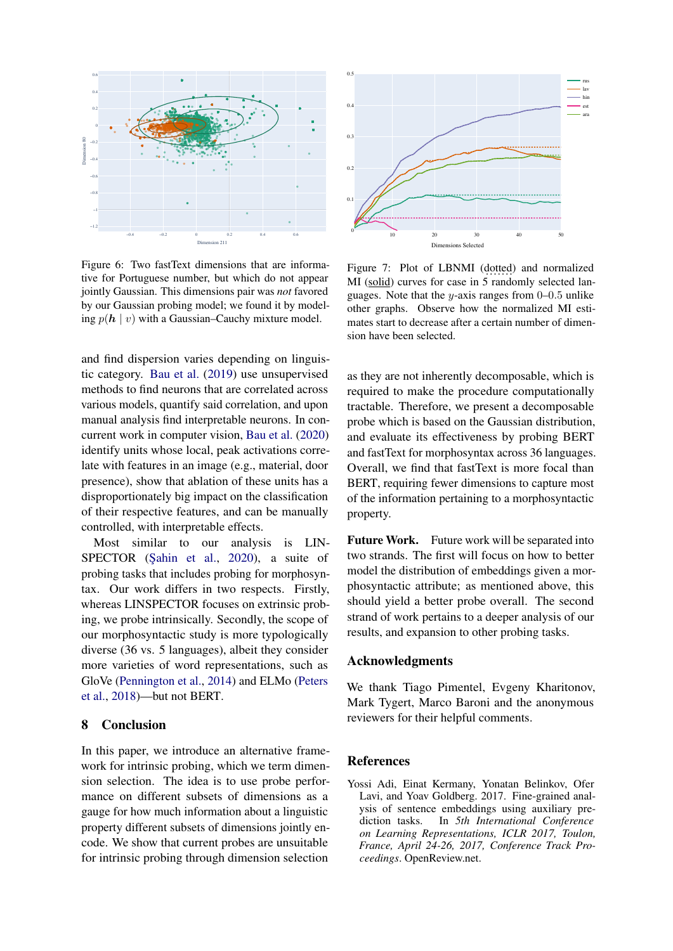<span id="page-8-0"></span>

Figure 6: Two fastText dimensions that are informative for Portuguese number, but which do not appear jointly Gaussian. This dimensions pair was *not* favored by our Gaussian probing model; we found it by modeling  $p(h \mid v)$  with a Gaussian–Cauchy mixture model.

and find dispersion varies depending on linguistic category. [Bau et al.](#page-9-16) [\(2019\)](#page-9-16) use unsupervised methods to find neurons that are correlated across various models, quantify said correlation, and upon manual analysis find interpretable neurons. In concurrent work in computer vision, [Bau et al.](#page-9-17) [\(2020\)](#page-9-17) identify units whose local, peak activations correlate with features in an image (e.g., material, door presence), show that ablation of these units has a disproportionately big impact on the classification of their respective features, and can be manually controlled, with interpretable effects.

Most similar to our analysis is LIN-SPECTOR (Şahin et al., [2020\)](#page-12-16), a suite of probing tasks that includes probing for morphosyntax. Our work differs in two respects. Firstly, whereas LINSPECTOR focuses on extrinsic probing, we probe intrinsically. Secondly, the scope of our morphosyntactic study is more typologically diverse (36 vs. 5 languages), albeit they consider more varieties of word representations, such as GloVe [\(Pennington et al.,](#page-11-8) [2014\)](#page-11-8) and ELMo [\(Peters](#page-11-0) [et al.,](#page-11-0) [2018\)](#page-11-0)—but not BERT.

### 8 Conclusion

In this paper, we introduce an alternative framework for intrinsic probing, which we term dimension selection. The idea is to use probe performance on different subsets of dimensions as a gauge for how much information about a linguistic property different subsets of dimensions jointly encode. We show that current probes are unsuitable for intrinsic probing through dimension selection

<span id="page-8-1"></span>

Figure 7: Plot of LBNMI (dotted) and normalized MI (solid) curves for case in 5 randomly selected languages. Note that the y-axis ranges from  $0-0.5$  unlike other graphs. Observe how the normalized MI estimates start to decrease after a certain number of dimension have been selected.

as they are not inherently decomposable, which is required to make the procedure computationally tractable. Therefore, we present a decomposable probe which is based on the Gaussian distribution, and evaluate its effectiveness by probing BERT and fastText for morphosyntax across 36 languages. Overall, we find that fastText is more focal than BERT, requiring fewer dimensions to capture most of the information pertaining to a morphosyntactic property.

Future Work. Future work will be separated into two strands. The first will focus on how to better model the distribution of embeddings given a morphosyntactic attribute; as mentioned above, this should yield a better probe overall. The second strand of work pertains to a deeper analysis of our results, and expansion to other probing tasks.

# Acknowledgments

We thank Tiago Pimentel, Evgeny Kharitonov, Mark Tygert, Marco Baroni and the anonymous reviewers for their helpful comments.

### **References**

<span id="page-8-2"></span>Yossi Adi, Einat Kermany, Yonatan Belinkov, Ofer Lavi, and Yoav Goldberg. 2017. Fine-grained analysis of sentence embeddings using auxiliary prediction tasks. In *5th International Conference on Learning Representations, ICLR 2017, Toulon, France, April 24-26, 2017, Conference Track Proceedings*. OpenReview.net.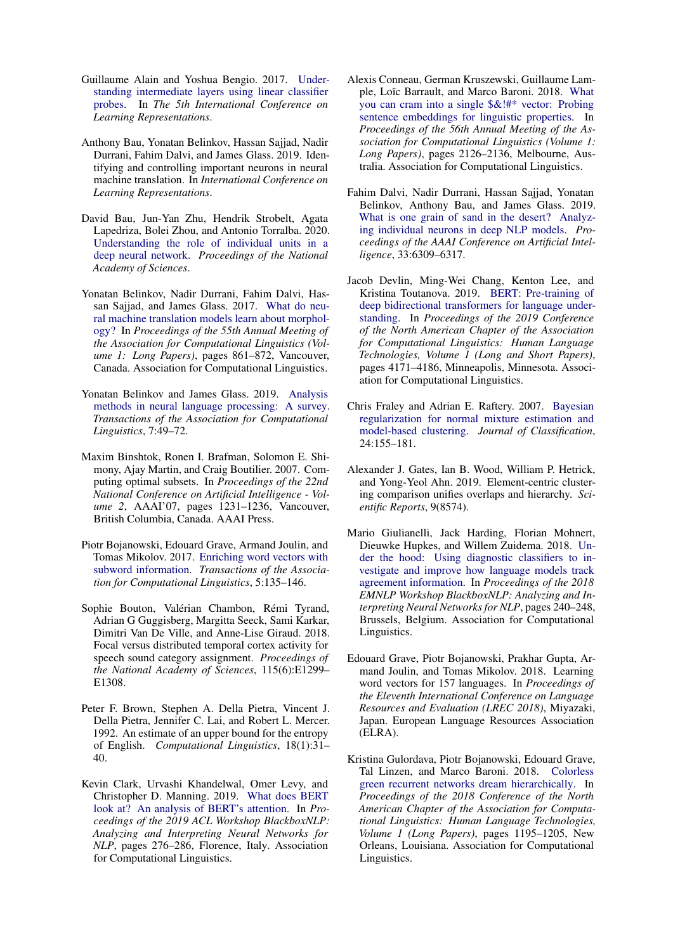- <span id="page-9-1"></span>Guillaume Alain and Yoshua Bengio. 2017. [Under](https://openreview.net/forum?id=HJ4-rAVtl)[standing intermediate layers using linear classifier](https://openreview.net/forum?id=HJ4-rAVtl) [probes.](https://openreview.net/forum?id=HJ4-rAVtl) In *The 5th International Conference on Learning Representations*.
- <span id="page-9-16"></span>Anthony Bau, Yonatan Belinkov, Hassan Sajjad, Nadir Durrani, Fahim Dalvi, and James Glass. 2019. Identifying and controlling important neurons in neural machine translation. In *International Conference on Learning Representations*.
- <span id="page-9-17"></span>David Bau, Jun-Yan Zhu, Hendrik Strobelt, Agata Lapedriza, Bolei Zhou, and Antonio Torralba. 2020. [Understanding the role of individual units in a](https://doi.org/10.1073/pnas.1907375117) [deep neural network.](https://doi.org/10.1073/pnas.1907375117) *Proceedings of the National Academy of Sciences*.
- <span id="page-9-3"></span>Yonatan Belinkov, Nadir Durrani, Fahim Dalvi, Hassan Sajjad, and James Glass. 2017. [What do neu](https://doi.org/10.18653/v1/P17-1080)[ral machine translation models learn about morphol](https://doi.org/10.18653/v1/P17-1080)[ogy?](https://doi.org/10.18653/v1/P17-1080) In *Proceedings of the 55th Annual Meeting of the Association for Computational Linguistics (Volume 1: Long Papers)*, pages 861–872, Vancouver, Canada. Association for Computational Linguistics.
- <span id="page-9-2"></span>Yonatan Belinkov and James Glass. 2019. [Analysis](https://doi.org/10.1162/tacl_a_00254) [methods in neural language processing: A survey.](https://doi.org/10.1162/tacl_a_00254) *Transactions of the Association for Computational Linguistics*, 7:49–72.
- <span id="page-9-5"></span>Maxim Binshtok, Ronen I. Brafman, Solomon E. Shimony, Ajay Martin, and Craig Boutilier. 2007. Computing optimal subsets. In *Proceedings of the 22nd National Conference on Artificial Intelligence - Volume 2*, AAAI'07, pages 1231–1236, Vancouver, British Columbia, Canada. AAAI Press.
- <span id="page-9-9"></span>Piotr Bojanowski, Edouard Grave, Armand Joulin, and Tomas Mikolov. 2017. [Enriching word vectors with](https://doi.org/10.1162/tacl_a_00051) [subword information.](https://doi.org/10.1162/tacl_a_00051) *Transactions of the Association for Computational Linguistics*, 5:135–146.
- <span id="page-9-6"></span>Sophie Bouton, Valérian Chambon, Rémi Tyrand, Adrian G Guggisberg, Margitta Seeck, Sami Karkar, Dimitri Van De Ville, and Anne-Lise Giraud. 2018. Focal versus distributed temporal cortex activity for speech sound category assignment. *Proceedings of the National Academy of Sciences*, 115(6):E1299– E1308.
- <span id="page-9-10"></span>Peter F. Brown, Stephen A. Della Pietra, Vincent J. Della Pietra, Jennifer C. Lai, and Robert L. Mercer. 1992. An estimate of an upper bound for the entropy of English. *Computational Linguistics*, 18(1):31– 40.
- <span id="page-9-15"></span>Kevin Clark, Urvashi Khandelwal, Omer Levy, and Christopher D. Manning. 2019. [What does BERT](https://doi.org/10.18653/v1/W19-4828) [look at? An analysis of BERT's attention.](https://doi.org/10.18653/v1/W19-4828) In *Proceedings of the 2019 ACL Workshop BlackboxNLP: Analyzing and Interpreting Neural Networks for NLP*, pages 276–286, Florence, Italy. Association for Computational Linguistics.
- <span id="page-9-7"></span>Alexis Conneau, German Kruszewski, Guillaume Lample, Loïc Barrault, and Marco Baroni. 2018. [What](https://doi.org/10.18653/v1/P18-1198) [you can cram into a single \\$&!#\\* vector: Probing](https://doi.org/10.18653/v1/P18-1198) [sentence embeddings for linguistic properties.](https://doi.org/10.18653/v1/P18-1198) In *Proceedings of the 56th Annual Meeting of the Association for Computational Linguistics (Volume 1: Long Papers)*, pages 2126–2136, Melbourne, Australia. Association for Computational Linguistics.
- <span id="page-9-8"></span>Fahim Dalvi, Nadir Durrani, Hassan Sajjad, Yonatan Belinkov, Anthony Bau, and James Glass. 2019. [What is one grain of sand in the desert? Analyz](https://doi.org/10.1609/aaai.v33i01.33016309)[ing individual neurons in deep NLP models.](https://doi.org/10.1609/aaai.v33i01.33016309) *Proceedings of the AAAI Conference on Artificial Intelligence*, 33:6309–6317.
- <span id="page-9-0"></span>Jacob Devlin, Ming-Wei Chang, Kenton Lee, and Kristina Toutanova. 2019. [BERT: Pre-training of](https://doi.org/10.18653/v1/N19-1423) [deep bidirectional transformers for language under](https://doi.org/10.18653/v1/N19-1423)[standing.](https://doi.org/10.18653/v1/N19-1423) In *Proceedings of the 2019 Conference of the North American Chapter of the Association for Computational Linguistics: Human Language Technologies, Volume 1 (Long and Short Papers)*, pages 4171–4186, Minneapolis, Minnesota. Association for Computational Linguistics.
- <span id="page-9-12"></span>Chris Fraley and Adrian E. Raftery. 2007. [Bayesian](https://doi.org/10.1007/s00357-007-0004-z) [regularization for normal mixture estimation and](https://doi.org/10.1007/s00357-007-0004-z) [model-based clustering.](https://doi.org/10.1007/s00357-007-0004-z) *Journal of Classification*, 24:155–181.
- <span id="page-9-11"></span>Alexander J. Gates, Ian B. Wood, William P. Hetrick, and Yong-Yeol Ahn. 2019. Element-centric clustering comparison unifies overlaps and hierarchy. *Scientific Reports*, 9(8574).
- <span id="page-9-4"></span>Mario Giulianelli, Jack Harding, Florian Mohnert, Dieuwke Hupkes, and Willem Zuidema. 2018. [Un](https://doi.org/10.18653/v1/W18-5426)[der the hood: Using diagnostic classifiers to in](https://doi.org/10.18653/v1/W18-5426)[vestigate and improve how language models track](https://doi.org/10.18653/v1/W18-5426) [agreement information.](https://doi.org/10.18653/v1/W18-5426) In *Proceedings of the 2018 EMNLP Workshop BlackboxNLP: Analyzing and Interpreting Neural Networks for NLP*, pages 240–248, Brussels, Belgium. Association for Computational Linguistics.
- <span id="page-9-13"></span>Edouard Grave, Piotr Bojanowski, Prakhar Gupta, Armand Joulin, and Tomas Mikolov. 2018. Learning word vectors for 157 languages. In *Proceedings of the Eleventh International Conference on Language Resources and Evaluation (LREC 2018)*, Miyazaki, Japan. European Language Resources Association (ELRA).
- <span id="page-9-14"></span>Kristina Gulordava, Piotr Bojanowski, Edouard Grave, Tal Linzen, and Marco Baroni. 2018. [Colorless](https://doi.org/10.18653/v1/N18-1108) [green recurrent networks dream hierarchically.](https://doi.org/10.18653/v1/N18-1108) In *Proceedings of the 2018 Conference of the North American Chapter of the Association for Computational Linguistics: Human Language Technologies, Volume 1 (Long Papers)*, pages 1195–1205, New Orleans, Louisiana. Association for Computational Linguistics.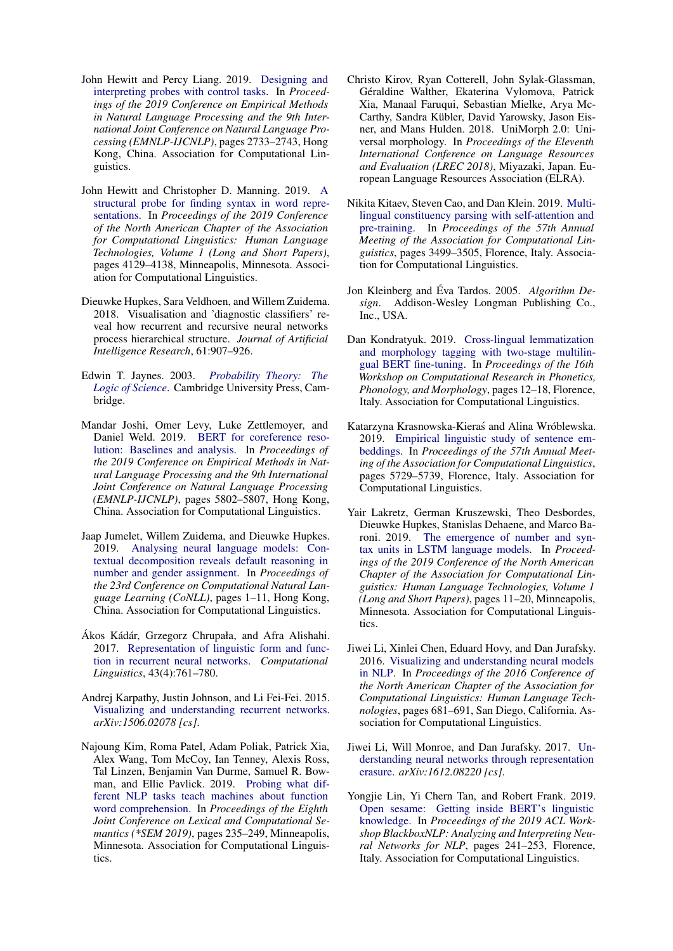- <span id="page-10-13"></span>John Hewitt and Percy Liang. 2019. [Designing and](https://doi.org/10.18653/v1/D19-1275) [interpreting probes with control tasks.](https://doi.org/10.18653/v1/D19-1275) In *Proceedings of the 2019 Conference on Empirical Methods in Natural Language Processing and the 9th International Joint Conference on Natural Language Processing (EMNLP-IJCNLP)*, pages 2733–2743, Hong Kong, China. Association for Computational Linguistics.
- <span id="page-10-6"></span>John Hewitt and Christopher D. Manning. 2019. [A](https://doi.org/10.18653/v1/N19-1419) [structural probe for finding syntax in word repre](https://doi.org/10.18653/v1/N19-1419)[sentations.](https://doi.org/10.18653/v1/N19-1419) In *Proceedings of the 2019 Conference of the North American Chapter of the Association for Computational Linguistics: Human Language Technologies, Volume 1 (Long and Short Papers)*, pages 4129–4138, Minneapolis, Minnesota. Association for Computational Linguistics.
- <span id="page-10-5"></span>Dieuwke Hupkes, Sara Veldhoen, and Willem Zuidema. 2018. Visualisation and 'diagnostic classifiers' reveal how recurrent and recursive neural networks process hierarchical structure. *Journal of Artificial Intelligence Research*, 61:907–926.
- <span id="page-10-11"></span>Edwin T. Jaynes. 2003. *[Probability Theory: The](https://doi.org/10.1017/CBO9780511790423) [Logic of Science](https://doi.org/10.1017/CBO9780511790423)*. Cambridge University Press, Cambridge.
- <span id="page-10-1"></span>Mandar Joshi, Omer Levy, Luke Zettlemoyer, and Daniel Weld. 2019. [BERT for coreference reso](https://doi.org/10.18653/v1/D19-1588)[lution: Baselines and analysis.](https://doi.org/10.18653/v1/D19-1588) In *Proceedings of the 2019 Conference on Empirical Methods in Natural Language Processing and the 9th International Joint Conference on Natural Language Processing (EMNLP-IJCNLP)*, pages 5802–5807, Hong Kong, China. Association for Computational Linguistics.
- <span id="page-10-15"></span>Jaap Jumelet, Willem Zuidema, and Dieuwke Hupkes. 2019. [Analysing neural language models: Con](https://doi.org/10.18653/v1/K19-1001)[textual decomposition reveals default reasoning in](https://doi.org/10.18653/v1/K19-1001) [number and gender assignment.](https://doi.org/10.18653/v1/K19-1001) In *Proceedings of the 23rd Conference on Computational Natural Language Learning (CoNLL)*, pages 1–11, Hong Kong, China. Association for Computational Linguistics.
- <span id="page-10-16"></span>Ákos Kádár, Grzegorz Chrupała, and Afra Alishahi. 2017. [Representation of linguistic form and func](https://doi.org/10.1162/COLI_a_00300)[tion in recurrent neural networks.](https://doi.org/10.1162/COLI_a_00300) *Computational Linguistics*, 43(4):761–780.
- <span id="page-10-3"></span>Andrej Karpathy, Justin Johnson, and Li Fei-Fei. 2015. [Visualizing and understanding recurrent networks.](http://arxiv.org/abs/1506.02078) *arXiv:1506.02078 [cs]*.
- <span id="page-10-8"></span>Najoung Kim, Roma Patel, Adam Poliak, Patrick Xia, Alex Wang, Tom McCoy, Ian Tenney, Alexis Ross, Tal Linzen, Benjamin Van Durme, Samuel R. Bowman, and Ellie Pavlick. 2019. [Probing what dif](https://doi.org/10.18653/v1/S19-1026)[ferent NLP tasks teach machines about function](https://doi.org/10.18653/v1/S19-1026) [word comprehension.](https://doi.org/10.18653/v1/S19-1026) In *Proceedings of the Eighth Joint Conference on Lexical and Computational Semantics (\*SEM 2019)*, pages 235–249, Minneapolis, Minnesota. Association for Computational Linguistics.
- <span id="page-10-12"></span>Christo Kirov, Ryan Cotterell, John Sylak-Glassman, Géraldine Walther, Ekaterina Vylomova, Patrick Xia, Manaal Faruqui, Sebastian Mielke, Arya Mc-Carthy, Sandra Kübler, David Yarowsky, Jason Eisner, and Mans Hulden. 2018. UniMorph 2.0: Universal morphology. In *Proceedings of the Eleventh International Conference on Language Resources and Evaluation (LREC 2018)*, Miyazaki, Japan. European Language Resources Association (ELRA).
- <span id="page-10-0"></span>Nikita Kitaev, Steven Cao, and Dan Klein. 2019. [Multi](https://doi.org/10.18653/v1/P19-1340)[lingual constituency parsing with self-attention and](https://doi.org/10.18653/v1/P19-1340) [pre-training.](https://doi.org/10.18653/v1/P19-1340) In *Proceedings of the 57th Annual Meeting of the Association for Computational Linguistics*, pages 3499–3505, Florence, Italy. Association for Computational Linguistics.
- <span id="page-10-10"></span>Jon Kleinberg and Éva Tardos. 2005. *Algorithm Design*. Addison-Wesley Longman Publishing Co., Inc., USA.
- <span id="page-10-2"></span>Dan Kondratyuk. 2019. [Cross-lingual lemmatization](https://doi.org/10.18653/v1/W19-4203) [and morphology tagging with two-stage multilin](https://doi.org/10.18653/v1/W19-4203)[gual BERT fine-tuning.](https://doi.org/10.18653/v1/W19-4203) In *Proceedings of the 16th Workshop on Computational Research in Phonetics, Phonology, and Morphology*, pages 12–18, Florence, Italy. Association for Computational Linguistics.
- <span id="page-10-14"></span>Katarzyna Krasnowska-Kieras and Alina Wróblewska. ´ 2019. [Empirical linguistic study of sentence em](https://doi.org/10.18653/v1/P19-1573)[beddings.](https://doi.org/10.18653/v1/P19-1573) In *Proceedings of the 57th Annual Meeting of the Association for Computational Linguistics*, pages 5729–5739, Florence, Italy. Association for Computational Linguistics.
- <span id="page-10-9"></span>Yair Lakretz, German Kruszewski, Theo Desbordes, Dieuwke Hupkes, Stanislas Dehaene, and Marco Baroni. 2019. [The emergence of number and syn](https://doi.org/10.18653/v1/N19-1002)[tax units in LSTM language models.](https://doi.org/10.18653/v1/N19-1002) In *Proceedings of the 2019 Conference of the North American Chapter of the Association for Computational Linguistics: Human Language Technologies, Volume 1 (Long and Short Papers)*, pages 11–20, Minneapolis, Minnesota. Association for Computational Linguistics.
- <span id="page-10-4"></span>Jiwei Li, Xinlei Chen, Eduard Hovy, and Dan Jurafsky. 2016. [Visualizing and understanding neural models](https://doi.org/10.18653/v1/N16-1082) [in NLP.](https://doi.org/10.18653/v1/N16-1082) In *Proceedings of the 2016 Conference of the North American Chapter of the Association for Computational Linguistics: Human Language Technologies*, pages 681–691, San Diego, California. Association for Computational Linguistics.
- <span id="page-10-17"></span>Jiwei Li, Will Monroe, and Dan Jurafsky. 2017. [Un](http://arxiv.org/abs/1612.08220)[derstanding neural networks through representation](http://arxiv.org/abs/1612.08220) [erasure.](http://arxiv.org/abs/1612.08220) *arXiv:1612.08220 [cs]*.
- <span id="page-10-7"></span>Yongjie Lin, Yi Chern Tan, and Robert Frank. 2019. [Open sesame: Getting inside BERT's linguistic](https://doi.org/10.18653/v1/W19-4825) [knowledge.](https://doi.org/10.18653/v1/W19-4825) In *Proceedings of the 2019 ACL Workshop BlackboxNLP: Analyzing and Interpreting Neural Networks for NLP*, pages 241–253, Florence, Italy. Association for Computational Linguistics.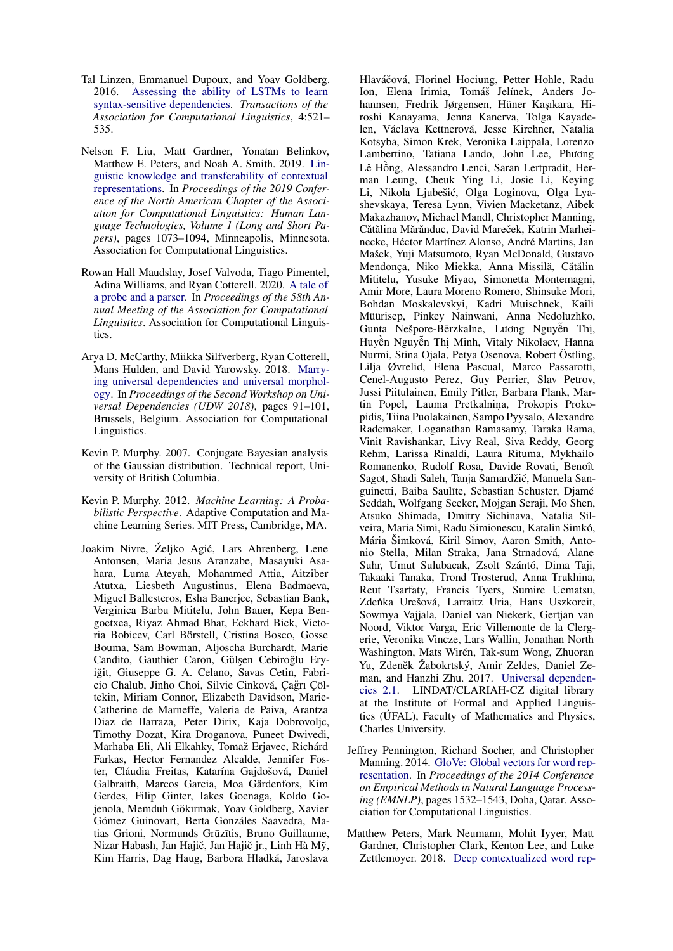- <span id="page-11-6"></span>Tal Linzen, Emmanuel Dupoux, and Yoav Goldberg. 2016. [Assessing the ability of LSTMs to learn](https://doi.org/10.1162/tacl_a_00115) [syntax-sensitive dependencies.](https://doi.org/10.1162/tacl_a_00115) *Transactions of the Association for Computational Linguistics*, 4:521– 535.
- <span id="page-11-2"></span>Nelson F. Liu, Matt Gardner, Yonatan Belinkov, Matthew E. Peters, and Noah A. Smith. 2019. [Lin](https://doi.org/10.18653/v1/N19-1112)[guistic knowledge and transferability of contextual](https://doi.org/10.18653/v1/N19-1112) [representations.](https://doi.org/10.18653/v1/N19-1112) In *Proceedings of the 2019 Conference of the North American Chapter of the Association for Computational Linguistics: Human Language Technologies, Volume 1 (Long and Short Papers)*, pages 1073–1094, Minneapolis, Minnesota. Association for Computational Linguistics.
- <span id="page-11-7"></span>Rowan Hall Maudslay, Josef Valvoda, Tiago Pimentel, Adina Williams, and Ryan Cotterell. 2020. [A tale of](http://arxiv.org/abs/2005.01641) [a probe and a parser.](http://arxiv.org/abs/2005.01641) In *Proceedings of the 58th Annual Meeting of the Association for Computational Linguistics*. Association for Computational Linguistics.
- <span id="page-11-5"></span>Arya D. McCarthy, Miikka Silfverberg, Ryan Cotterell, Mans Hulden, and David Yarowsky. 2018. [Marry](https://doi.org/10.18653/v1/W18-6011)[ing universal dependencies and universal morphol](https://doi.org/10.18653/v1/W18-6011)[ogy.](https://doi.org/10.18653/v1/W18-6011) In *Proceedings of the Second Workshop on Universal Dependencies (UDW 2018)*, pages 91–101, Brussels, Belgium. Association for Computational Linguistics.
- <span id="page-11-4"></span>Kevin P. Murphy. 2007. Conjugate Bayesian analysis of the Gaussian distribution. Technical report, University of British Columbia.
- <span id="page-11-3"></span>Kevin P. Murphy. 2012. *Machine Learning: A Probabilistic Perspective*. Adaptive Computation and Machine Learning Series. MIT Press, Cambridge, MA.
- <span id="page-11-1"></span>Joakim Nivre, Željko Agic, Lars Ahrenberg, Lene ´ Antonsen, Maria Jesus Aranzabe, Masayuki Asahara, Luma Ateyah, Mohammed Attia, Aitziber Atutxa, Liesbeth Augustinus, Elena Badmaeva, Miguel Ballesteros, Esha Banerjee, Sebastian Bank, Verginica Barbu Mititelu, John Bauer, Kepa Bengoetxea, Riyaz Ahmad Bhat, Eckhard Bick, Victoria Bobicev, Carl Börstell, Cristina Bosco, Gosse Bouma, Sam Bowman, Aljoscha Burchardt, Marie Candito, Gauthier Caron, Gülşen Cebiroğlu Eryiğit, Giuseppe G. A. Celano, Savas Cetin, Fabricio Chalub, Jinho Choi, Silvie Cinková, Çagrı Çöl- ˘ tekin, Miriam Connor, Elizabeth Davidson, Marie-Catherine de Marneffe, Valeria de Paiva, Arantza Diaz de Ilarraza, Peter Dirix, Kaja Dobrovoljc, Timothy Dozat, Kira Droganova, Puneet Dwivedi, Marhaba Eli, Ali Elkahky, Tomaž Erjavec, Richárd Farkas, Hector Fernandez Alcalde, Jennifer Foster, Cláudia Freitas, Katarína Gajdošová, Daniel Galbraith, Marcos Garcia, Moa Gärdenfors, Kim Gerdes, Filip Ginter, Iakes Goenaga, Koldo Gojenola, Memduh Gökırmak, Yoav Goldberg, Xavier Gómez Guinovart, Berta Gonzáles Saavedra, Matias Grioni, Normunds Grūzītis, Bruno Guillaume, Nizar Habash, Jan Hajič, Jan Hajič jr., Linh Hà Mỹ, Kim Harris, Dag Haug, Barbora Hladká, Jaroslava

Hlaváčová, Florinel Hociung, Petter Hohle, Radu Ion, Elena Irimia, Tomáš Jelínek, Anders Johannsen, Fredrik Jørgensen, Hüner Kaşıkara, Hiroshi Kanayama, Jenna Kanerva, Tolga Kayadelen, Václava Kettnerová, Jesse Kirchner, Natalia Kotsyba, Simon Krek, Veronika Laippala, Lorenzo Lambertino, Tatiana Lando, John Lee, Phương Lê Hông, Alessandro Lenci, Saran Lertpradit, Her- ` man Leung, Cheuk Ying Li, Josie Li, Keying Li, Nikola Ljubešic, Olga Loginova, Olga Lya- ´ shevskaya, Teresa Lynn, Vivien Macketanz, Aibek Makazhanov, Michael Mandl, Christopher Manning, Cătălina Mărănduc, David Mareček, Katrin Marheinecke, Héctor Martínez Alonso, André Martins, Jan Mašek, Yuji Matsumoto, Ryan McDonald, Gustavo Mendonça, Niko Miekka, Anna Missilä, Cătălin Mititelu, Yusuke Miyao, Simonetta Montemagni, Amir More, Laura Moreno Romero, Shinsuke Mori, Bohdan Moskalevskyi, Kadri Muischnek, Kaili Müürisep, Pinkey Nainwani, Anna Nedoluzhko, Gunta Nešpore-Bērzkalne, Luong Nguyễn Thị, Huyền Nguyễn Thị Minh, Vitaly Nikolaev, Hanna Nurmi, Stina Ojala, Petya Osenova, Robert Östling, Lilja Øvrelid, Elena Pascual, Marco Passarotti, Cenel-Augusto Perez, Guy Perrier, Slav Petrov, Jussi Piitulainen, Emily Pitler, Barbara Plank, Martin Popel, Lauma Pretkalnina, Prokopis Prokopidis, Tiina Puolakainen, Sampo Pyysalo, Alexandre Rademaker, Loganathan Ramasamy, Taraka Rama, Vinit Ravishankar, Livy Real, Siva Reddy, Georg Rehm, Larissa Rinaldi, Laura Rituma, Mykhailo Romanenko, Rudolf Rosa, Davide Rovati, Benoît Sagot, Shadi Saleh, Tanja Samardžic, Manuela San- ´ guinetti, Baiba Saulīte, Sebastian Schuster, Djamé Seddah, Wolfgang Seeker, Mojgan Seraji, Mo Shen, Atsuko Shimada, Dmitry Sichinava, Natalia Silveira, Maria Simi, Radu Simionescu, Katalin Simkó, Mária Šimková, Kiril Simov, Aaron Smith, Antonio Stella, Milan Straka, Jana Strnadová, Alane Suhr, Umut Sulubacak, Zsolt Szántó, Dima Taji, Takaaki Tanaka, Trond Trosterud, Anna Trukhina, Reut Tsarfaty, Francis Tyers, Sumire Uematsu, Zdeňka Urešová, Larraitz Uria, Hans Uszkoreit, Sowmya Vajjala, Daniel van Niekerk, Gertjan van Noord, Viktor Varga, Eric Villemonte de la Clergerie, Veronika Vincze, Lars Wallin, Jonathan North Washington, Mats Wirén, Tak-sum Wong, Zhuoran Yu, Zdeněk Žabokrtský, Amir Zeldes, Daniel Zeman, and Hanzhi Zhu. 2017. [Universal dependen](http://hdl.handle.net/11234/1-2515)[cies 2.1.](http://hdl.handle.net/11234/1-2515) LINDAT/CLARIAH-CZ digital library at the Institute of Formal and Applied Linguistics (ÚFAL), Faculty of Mathematics and Physics, Charles University.

- <span id="page-11-8"></span>Jeffrey Pennington, Richard Socher, and Christopher Manning. 2014. [GloVe: Global vectors for word rep](https://doi.org/10.3115/v1/D14-1162)[resentation.](https://doi.org/10.3115/v1/D14-1162) In *Proceedings of the 2014 Conference on Empirical Methods in Natural Language Processing (EMNLP)*, pages 1532–1543, Doha, Qatar. Association for Computational Linguistics.
- <span id="page-11-0"></span>Matthew Peters, Mark Neumann, Mohit Iyyer, Matt Gardner, Christopher Clark, Kenton Lee, and Luke Zettlemoyer. 2018. [Deep contextualized word rep-](https://doi.org/10.18653/v1/N18-1202)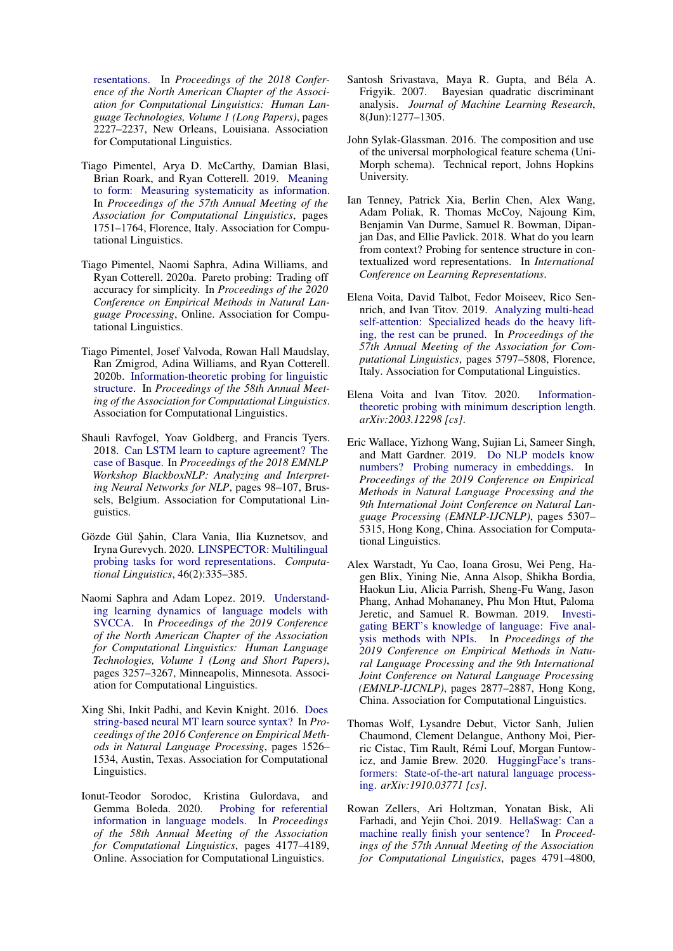[resentations.](https://doi.org/10.18653/v1/N18-1202) In *Proceedings of the 2018 Conference of the North American Chapter of the Association for Computational Linguistics: Human Language Technologies, Volume 1 (Long Papers)*, pages 2227–2237, New Orleans, Louisiana. Association for Computational Linguistics.

- <span id="page-12-5"></span>Tiago Pimentel, Arya D. McCarthy, Damian Blasi, Brian Roark, and Ryan Cotterell. 2019. [Meaning](https://doi.org/10.18653/v1/P19-1171) [to form: Measuring systematicity as information.](https://doi.org/10.18653/v1/P19-1171) In *Proceedings of the 57th Annual Meeting of the Association for Computational Linguistics*, pages 1751–1764, Florence, Italy. Association for Computational Linguistics.
- <span id="page-12-13"></span>Tiago Pimentel, Naomi Saphra, Adina Williams, and Ryan Cotterell. 2020a. Pareto probing: Trading off accuracy for simplicity. In *Proceedings of the 2020 Conference on Empirical Methods in Natural Language Processing*, Online. Association for Computational Linguistics.
- <span id="page-12-1"></span>Tiago Pimentel, Josef Valvoda, Rowan Hall Maudslay, Ran Zmigrod, Adina Williams, and Ryan Cotterell. 2020b. [Information-theoretic probing for linguistic](http://arxiv.org/abs/2004.03061) [structure.](http://arxiv.org/abs/2004.03061) In *Proceedings of the 58th Annual Meeting of the Association for Computational Linguistics*. Association for Computational Linguistics.
- <span id="page-12-7"></span>Shauli Ravfogel, Yoav Goldberg, and Francis Tyers. 2018. [Can LSTM learn to capture agreement? The](https://doi.org/10.18653/v1/W18-5412) [case of Basque.](https://doi.org/10.18653/v1/W18-5412) In *Proceedings of the 2018 EMNLP Workshop BlackboxNLP: Analyzing and Interpreting Neural Networks for NLP*, pages 98–107, Brussels, Belgium. Association for Computational Linguistics.
- <span id="page-12-16"></span>Gözde Gül Şahin, Clara Vania, Ilia Kuznetsov, and Iryna Gurevych. 2020. [LINSPECTOR: Multilingual](https://doi.org/10.1162/coli\_a\_00376) [probing tasks for word representations.](https://doi.org/10.1162/coli\_a\_00376) *Computational Linguistics*, 46(2):335–385.
- <span id="page-12-12"></span>Naomi Saphra and Adam Lopez. 2019. [Understand](https://doi.org/10.18653/v1/N19-1329)[ing learning dynamics of language models with](https://doi.org/10.18653/v1/N19-1329) [SVCCA.](https://doi.org/10.18653/v1/N19-1329) In *Proceedings of the 2019 Conference of the North American Chapter of the Association for Computational Linguistics: Human Language Technologies, Volume 1 (Long and Short Papers)*, pages 3257–3267, Minneapolis, Minnesota. Association for Computational Linguistics.
- <span id="page-12-15"></span>Xing Shi, Inkit Padhi, and Kevin Knight. 2016. [Does](https://doi.org/10.18653/v1/D16-1159) [string-based neural MT learn source syntax?](https://doi.org/10.18653/v1/D16-1159) In *Proceedings of the 2016 Conference on Empirical Methods in Natural Language Processing*, pages 1526– 1534, Austin, Texas. Association for Computational Linguistics.
- <span id="page-12-10"></span>Ionut-Teodor Sorodoc, Kristina Gulordava, and Gemma Boleda. 2020. [Probing for referential](https://doi.org/10.18653/v1/2020.acl-main.384) [information in language models.](https://doi.org/10.18653/v1/2020.acl-main.384) In *Proceedings of the 58th Annual Meeting of the Association for Computational Linguistics*, pages 4177–4189, Online. Association for Computational Linguistics.
- <span id="page-12-4"></span>Santosh Srivastava, Maya R. Gupta, and Béla A. Frigyik. 2007. Bayesian quadratic discriminant analysis. *Journal of Machine Learning Research*, 8(Jun):1277–1305.
- <span id="page-12-3"></span>John Sylak-Glassman. 2016. The composition and use of the universal morphological feature schema (Uni-Morph schema). Technical report, Johns Hopkins University.
- <span id="page-12-11"></span>Ian Tenney, Patrick Xia, Berlin Chen, Alex Wang, Adam Poliak, R. Thomas McCoy, Najoung Kim, Benjamin Van Durme, Samuel R. Bowman, Dipanjan Das, and Ellie Pavlick. 2018. What do you learn from context? Probing for sentence structure in contextualized word representations. In *International Conference on Learning Representations*.
- <span id="page-12-14"></span>Elena Voita, David Talbot, Fedor Moiseev, Rico Sennrich, and Ivan Titov. 2019. [Analyzing multi-head](https://doi.org/10.18653/v1/P19-1580) [self-attention: Specialized heads do the heavy lift](https://doi.org/10.18653/v1/P19-1580)[ing, the rest can be pruned.](https://doi.org/10.18653/v1/P19-1580) In *Proceedings of the 57th Annual Meeting of the Association for Computational Linguistics*, pages 5797–5808, Florence, Italy. Association for Computational Linguistics.
- <span id="page-12-2"></span>Elena Voita and Ivan Titov. 2020. [Information](http://arxiv.org/abs/2003.12298)[theoretic probing with minimum description length.](http://arxiv.org/abs/2003.12298) *arXiv:2003.12298 [cs]*.
- <span id="page-12-8"></span>Eric Wallace, Yizhong Wang, Sujian Li, Sameer Singh, and Matt Gardner. 2019. [Do NLP models know](https://doi.org/10.18653/v1/D19-1534) [numbers? Probing numeracy in embeddings.](https://doi.org/10.18653/v1/D19-1534) In *Proceedings of the 2019 Conference on Empirical Methods in Natural Language Processing and the 9th International Joint Conference on Natural Language Processing (EMNLP-IJCNLP)*, pages 5307– 5315, Hong Kong, China. Association for Computational Linguistics.
- <span id="page-12-9"></span>Alex Warstadt, Yu Cao, Ioana Grosu, Wei Peng, Hagen Blix, Yining Nie, Anna Alsop, Shikha Bordia, Haokun Liu, Alicia Parrish, Sheng-Fu Wang, Jason Phang, Anhad Mohananey, Phu Mon Htut, Paloma Jeretic, and Samuel R. Bowman. 2019. [Investi](https://doi.org/10.18653/v1/D19-1286)[gating BERT's knowledge of language: Five anal](https://doi.org/10.18653/v1/D19-1286)[ysis methods with NPIs.](https://doi.org/10.18653/v1/D19-1286) In *Proceedings of the 2019 Conference on Empirical Methods in Natural Language Processing and the 9th International Joint Conference on Natural Language Processing (EMNLP-IJCNLP)*, pages 2877–2887, Hong Kong, China. Association for Computational Linguistics.
- <span id="page-12-6"></span>Thomas Wolf, Lysandre Debut, Victor Sanh, Julien Chaumond, Clement Delangue, Anthony Moi, Pierric Cistac, Tim Rault, Rémi Louf, Morgan Funtowicz, and Jamie Brew. 2020. [HuggingFace's trans](http://arxiv.org/abs/1910.03771)[formers: State-of-the-art natural language process](http://arxiv.org/abs/1910.03771)[ing.](http://arxiv.org/abs/1910.03771) *arXiv:1910.03771 [cs]*.
- <span id="page-12-0"></span>Rowan Zellers, Ari Holtzman, Yonatan Bisk, Ali Farhadi, and Yejin Choi. 2019. [HellaSwag: Can a](https://doi.org/10.18653/v1/P19-1472) [machine really finish your sentence?](https://doi.org/10.18653/v1/P19-1472) In *Proceedings of the 57th Annual Meeting of the Association for Computational Linguistics*, pages 4791–4800,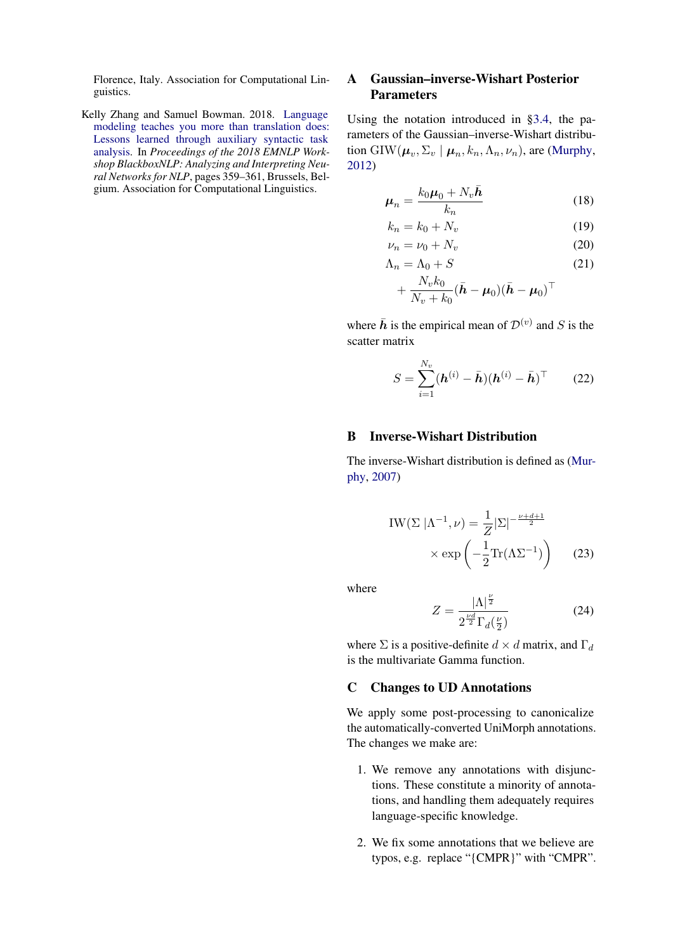Florence, Italy. Association for Computational Linguistics.

<span id="page-13-0"></span>Kelly Zhang and Samuel Bowman. 2018. [Language](https://doi.org/10.18653/v1/W18-5448) [modeling teaches you more than translation does:](https://doi.org/10.18653/v1/W18-5448) [Lessons learned through auxiliary syntactic task](https://doi.org/10.18653/v1/W18-5448) [analysis.](https://doi.org/10.18653/v1/W18-5448) In *Proceedings of the 2018 EMNLP Workshop BlackboxNLP: Analyzing and Interpreting Neural Networks for NLP*, pages 359–361, Brussels, Belgium. Association for Computational Linguistics.

# <span id="page-13-2"></span>A Gaussian–inverse-Wishart Posterior **Parameters**

Using the notation introduced in [§3.4,](#page-3-2) the parameters of the Gaussian–inverse-Wishart distribution GIW $(\mu_v, \Sigma_v \mid \mu_n, k_n, \Lambda_n, \nu_n)$ , are [\(Murphy,](#page-11-3) [2012\)](#page-11-3)

$$
\mu_n = \frac{k_0 \mu_0 + N_v \bar{h}}{k_n} \tag{18}
$$

$$
k_n = k_0 + N_v \tag{19}
$$

$$
\nu_n = \nu_0 + N_v \tag{20}
$$

$$
\Lambda_n = \Lambda_0 + S \tag{21}
$$

$$
+\frac{N_v k_0}{N_v+k_0}(\bar{\boldsymbol{h}}-\boldsymbol{\mu}_0)(\bar{\boldsymbol{h}}-\boldsymbol{\mu}_0)^\top
$$

where  $\bar{h}$  is the empirical mean of  $\mathcal{D}^{(v)}$  and S is the scatter matrix

$$
S = \sum_{i=1}^{N_v} (\boldsymbol{h}^{(i)} - \bar{\boldsymbol{h}}) (\boldsymbol{h}^{(i)} - \bar{\boldsymbol{h}})^{\top} \qquad (22)
$$

# <span id="page-13-1"></span>B Inverse-Wishart Distribution

The inverse-Wishart distribution is defined as [\(Mur](#page-11-4)[phy,](#page-11-4) [2007\)](#page-11-4)

$$
IW(\Sigma |\Lambda^{-1}, \nu) = \frac{1}{Z} |\Sigma|^{-\frac{\nu + d + 1}{2}}
$$

$$
\times \exp\left(-\frac{1}{2} \text{Tr}(\Lambda \Sigma^{-1})\right) \qquad (23)
$$

where

$$
Z = \frac{|\Lambda|^{\frac{\nu}{2}}}{2^{\frac{\nu d}{2}}\Gamma_d(\frac{\nu}{2})}
$$
 (24)

where  $\Sigma$  is a positive-definite  $d \times d$  matrix, and  $\Gamma_d$ is the multivariate Gamma function.

# <span id="page-13-3"></span>C Changes to UD Annotations

We apply some post-processing to canonicalize the automatically-converted UniMorph annotations. The changes we make are:

- 1. We remove any annotations with disjunctions. These constitute a minority of annotations, and handling them adequately requires language-specific knowledge.
- 2. We fix some annotations that we believe are typos, e.g. replace "{CMPR}" with "CMPR".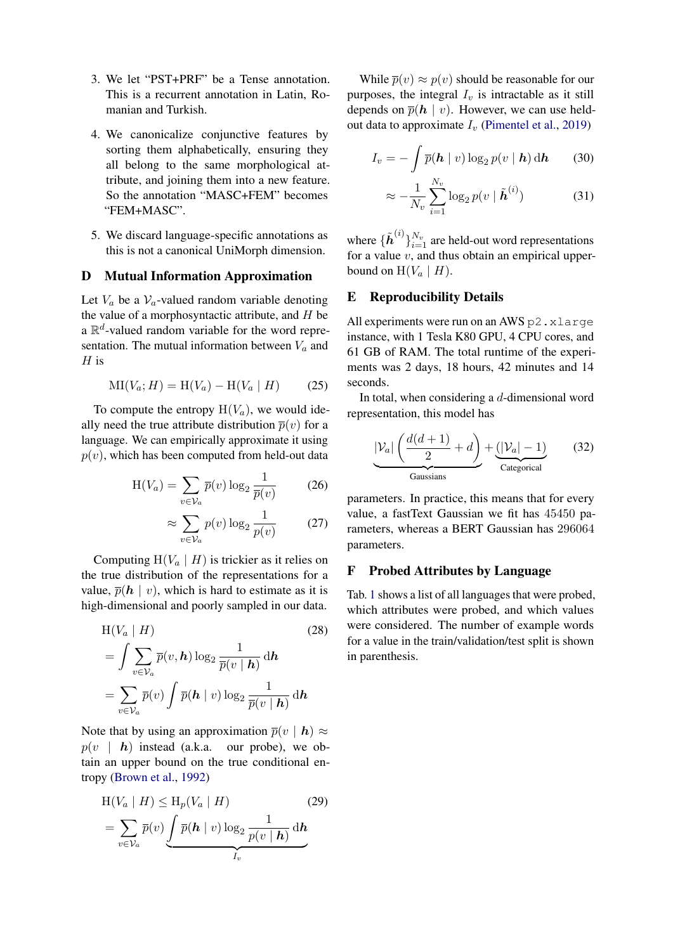- 3. We let "PST+PRF" be a Tense annotation. This is a recurrent annotation in Latin, Romanian and Turkish.
- 4. We canonicalize conjunctive features by sorting them alphabetically, ensuring they all belong to the same morphological attribute, and joining them into a new feature. So the annotation "MASC+FEM" becomes "FEM+MASC".
- 5. We discard language-specific annotations as this is not a canonical UniMorph dimension.

# <span id="page-14-1"></span>D Mutual Information Approximation

Let  $V_a$  be a  $V_a$ -valued random variable denoting the value of a morphosyntactic attribute, and  $H$  be a  $\mathbb{R}^d$ -valued random variable for the word representation. The mutual information between  $V_a$  and  $H$  is

$$
MI(V_a; H) = H(V_a) - H(V_a | H)
$$
 (25)

To compute the entropy  $H(V_a)$ , we would ideally need the true attribute distribution  $\overline{p}(v)$  for a language. We can empirically approximate it using  $p(v)$ , which has been computed from held-out data

$$
H(V_a) = \sum_{v \in V_a} \overline{p}(v) \log_2 \frac{1}{\overline{p}(v)}
$$
 (26)

$$
\approx \sum_{v \in \mathcal{V}_a} p(v) \log_2 \frac{1}{p(v)} \tag{27}
$$

Computing  $H(V_a \mid H)$  is trickier as it relies on the true distribution of the representations for a value,  $\overline{p}(\mathbf{h} \mid v)$ , which is hard to estimate as it is high-dimensional and poorly sampled in our data.

$$
H(V_a | H)
$$
\n
$$
= \int \sum_{v \in V_a} \overline{p}(v, h) \log_2 \frac{1}{\overline{p}(v | h)} dh
$$
\n
$$
= \sum_{v \in V_a} \overline{p}(v) \int \overline{p}(h | v) \log_2 \frac{1}{\overline{p}(v | h)} dh
$$
\n(28)

Note that by using an approximation  $\overline{p}(v \mid h) \approx$  $p(v \mid h)$  instead (a.k.a. our probe), we obtain an upper bound on the true conditional entropy [\(Brown et al.,](#page-9-10) [1992\)](#page-9-10)

$$
H(V_a | H) \leq H_p(V_a | H)
$$
\n
$$
= \sum_{v \in V_a} \overline{p}(v) \underbrace{\int \overline{p}(\boldsymbol{h} | v) \log_2 \frac{1}{p(v | \boldsymbol{h})} d\boldsymbol{h}}_{I_v}
$$
\n(29)

While  $\overline{p}(v) \approx p(v)$  should be reasonable for our purposes, the integral  $I<sub>v</sub>$  is intractable as it still depends on  $\overline{p}(h \mid v)$ . However, we can use heldout data to approximate  $I_v$  [\(Pimentel et al.,](#page-12-5) [2019\)](#page-12-5)

$$
I_v = -\int \overline{p}(\boldsymbol{h} \mid v) \log_2 p(v \mid \boldsymbol{h}) \, \mathrm{d}\boldsymbol{h} \qquad (30)
$$

$$
\approx -\frac{1}{N_v} \sum_{i=1}^{N_v} \log_2 p(v \mid \tilde{\boldsymbol{h}}^{(i)}) \tag{31}
$$

where  $\{\tilde{h}^{(i)}\}_{i=1}^{N_v}$  are held-out word representations for a value  $v$ , and thus obtain an empirical upperbound on  $H(V_a \mid H)$ .

# E Reproducibility Details

All experiments were run on an AWS p2.xlarge instance, with 1 Tesla K80 GPU, 4 CPU cores, and 61 GB of RAM. The total runtime of the experiments was 2 days, 18 hours, 42 minutes and 14 seconds.

In total, when considering a  $d$ -dimensional word representation, this model has

$$
\underbrace{|\mathcal{V}_a| \left(\frac{d(d+1)}{2} + d\right)}_{\text{Gaussians}} + \underbrace{(|\mathcal{V}_a| - 1)}_{\text{Categorical}} \tag{32}
$$

parameters. In practice, this means that for every value, a fastText Gaussian we fit has 45450 parameters, whereas a BERT Gaussian has 296064 parameters.

# <span id="page-14-0"></span>F Probed Attributes by Language

Tab. [1](#page-15-0) shows a list of all languages that were probed, which attributes were probed, and which values were considered. The number of example words for a value in the train/validation/test split is shown in parenthesis.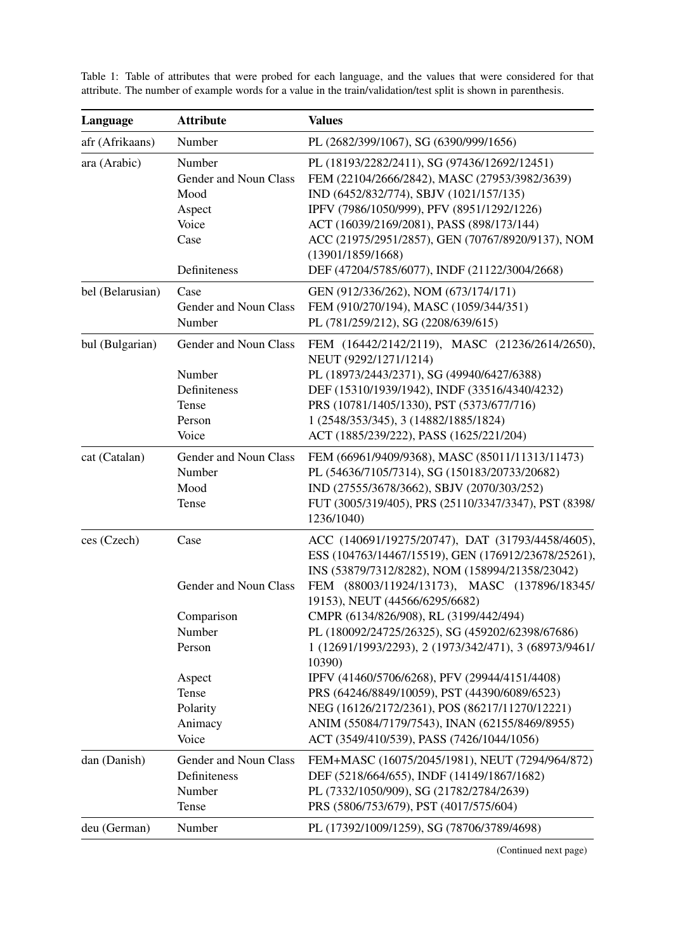| Language         | <b>Attribute</b>                                                                                                   | <b>Values</b>                                                                                                                                                                                                                                                                                                                                                                                                                                                                                                                                                                                                                                                    |
|------------------|--------------------------------------------------------------------------------------------------------------------|------------------------------------------------------------------------------------------------------------------------------------------------------------------------------------------------------------------------------------------------------------------------------------------------------------------------------------------------------------------------------------------------------------------------------------------------------------------------------------------------------------------------------------------------------------------------------------------------------------------------------------------------------------------|
| afr (Afrikaans)  | Number                                                                                                             | PL (2682/399/1067), SG (6390/999/1656)                                                                                                                                                                                                                                                                                                                                                                                                                                                                                                                                                                                                                           |
| ara (Arabic)     | Number<br>Gender and Noun Class<br>Mood<br>Aspect<br>Voice<br>Case<br>Definiteness                                 | PL (18193/2282/2411), SG (97436/12692/12451)<br>FEM (22104/2666/2842), MASC (27953/3982/3639)<br>IND (6452/832/774), SBJV (1021/157/135)<br>IPFV (7986/1050/999), PFV (8951/1292/1226)<br>ACT (16039/2169/2081), PASS (898/173/144)<br>ACC (21975/2951/2857), GEN (70767/8920/9137), NOM<br>(13901/1859/1668)<br>DEF (47204/5785/6077), INDF (21122/3004/2668)                                                                                                                                                                                                                                                                                                   |
| bel (Belarusian) | Case<br>Gender and Noun Class<br>Number                                                                            | GEN (912/336/262), NOM (673/174/171)<br>FEM (910/270/194), MASC (1059/344/351)<br>PL (781/259/212), SG (2208/639/615)                                                                                                                                                                                                                                                                                                                                                                                                                                                                                                                                            |
| bul (Bulgarian)  | Gender and Noun Class<br>Number<br>Definiteness<br>Tense<br>Person<br>Voice                                        | FEM (16442/2142/2119), MASC (21236/2614/2650),<br>NEUT (9292/1271/1214)<br>PL (18973/2443/2371), SG (49940/6427/6388)<br>DEF (15310/1939/1942), INDF (33516/4340/4232)<br>PRS (10781/1405/1330), PST (5373/677/716)<br>1 (2548/353/345), 3 (14882/1885/1824)<br>ACT (1885/239/222), PASS (1625/221/204)                                                                                                                                                                                                                                                                                                                                                          |
| cat (Catalan)    | Gender and Noun Class<br>Number<br>Mood<br>Tense                                                                   | FEM (66961/9409/9368), MASC (85011/11313/11473)<br>PL (54636/7105/7314), SG (150183/20733/20682)<br>IND (27555/3678/3662), SBJV (2070/303/252)<br>FUT (3005/319/405), PRS (25110/3347/3347), PST (8398/<br>1236/1040)                                                                                                                                                                                                                                                                                                                                                                                                                                            |
| ces (Czech)      | Case<br>Gender and Noun Class<br>Comparison<br>Number<br>Person<br>Aspect<br>Tense<br>Polarity<br>Animacy<br>Voice | ACC (140691/19275/20747), DAT (31793/4458/4605),<br>ESS (104763/14467/15519), GEN (176912/23678/25261),<br>INS (53879/7312/8282), NOM (158994/21358/23042)<br>FEM (88003/11924/13173), MASC (137896/18345/<br>19153), NEUT (44566/6295/6682)<br>CMPR (6134/826/908), RL (3199/442/494)<br>PL (180092/24725/26325), SG (459202/62398/67686)<br>1 (12691/1993/2293), 2 (1973/342/471), 3 (68973/9461/<br>10390)<br>IPFV (41460/5706/6268), PFV (29944/4151/4408)<br>PRS (64246/8849/10059), PST (44390/6089/6523)<br>NEG (16126/2172/2361), POS (86217/11270/12221)<br>ANIM (55084/7179/7543), INAN (62155/8469/8955)<br>ACT (3549/410/539), PASS (7426/1044/1056) |
| dan (Danish)     | Gender and Noun Class<br>Definiteness<br>Number<br>Tense                                                           | FEM+MASC (16075/2045/1981), NEUT (7294/964/872)<br>DEF (5218/664/655), INDF (14149/1867/1682)<br>PL (7332/1050/909), SG (21782/2784/2639)<br>PRS (5806/753/679), PST (4017/575/604)                                                                                                                                                                                                                                                                                                                                                                                                                                                                              |
| deu (German)     | Number                                                                                                             | PL (17392/1009/1259), SG (78706/3789/4698)                                                                                                                                                                                                                                                                                                                                                                                                                                                                                                                                                                                                                       |

<span id="page-15-0"></span>Table 1: Table of attributes that were probed for each language, and the values that were considered for that attribute. The number of example words for a value in the train/validation/test split is shown in parenthesis.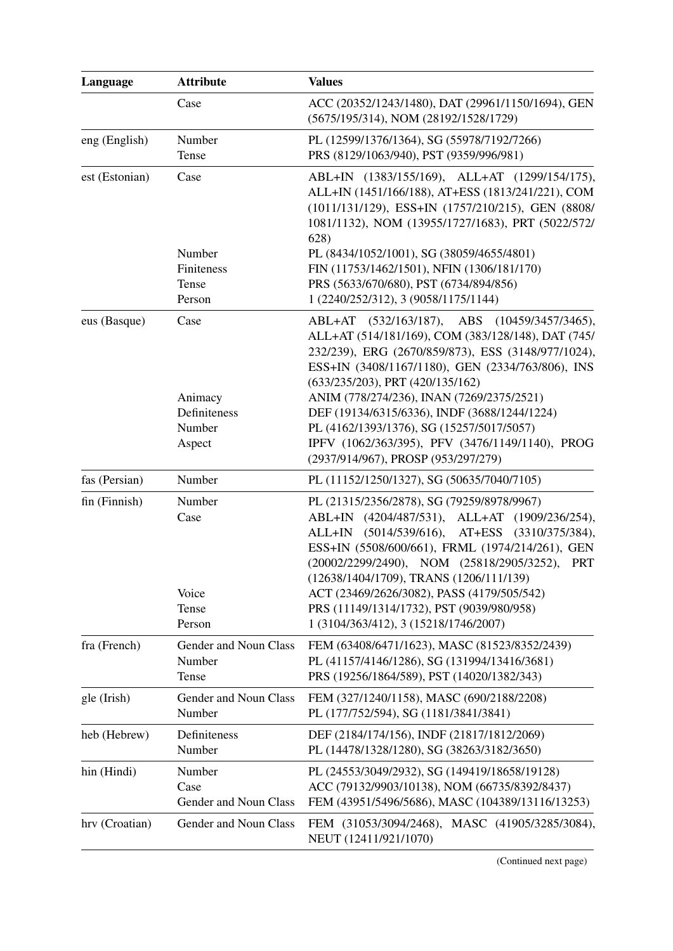| Language       | <b>Attribute</b>                         | <b>Values</b>                                                                                                                                                                                                                                                                                                                                                |
|----------------|------------------------------------------|--------------------------------------------------------------------------------------------------------------------------------------------------------------------------------------------------------------------------------------------------------------------------------------------------------------------------------------------------------------|
|                | Case                                     | ACC (20352/1243/1480), DAT (29961/1150/1694), GEN<br>(5675/195/314), NOM (28192/1528/1729)                                                                                                                                                                                                                                                                   |
| eng (English)  | Number<br>Tense                          | PL (12599/1376/1364), SG (55978/7192/7266)<br>PRS (8129/1063/940), PST (9359/996/981)                                                                                                                                                                                                                                                                        |
| est (Estonian) | Case                                     | ABL+IN (1383/155/169), ALL+AT (1299/154/175),<br>ALL+IN (1451/166/188), AT+ESS (1813/241/221), COM<br>(1011/131/129), ESS+IN (1757/210/215), GEN (8808/<br>1081/1132), NOM (13955/1727/1683), PRT (5022/572/<br>628)                                                                                                                                         |
|                | Number<br>Finiteness<br>Tense<br>Person  | PL (8434/1052/1001), SG (38059/4655/4801)<br>FIN (11753/1462/1501), NFIN (1306/181/170)<br>PRS (5633/670/680), PST (6734/894/856)<br>1 (2240/252/312), 3 (9058/1175/1144)                                                                                                                                                                                    |
| eus (Basque)   | Case<br>Animacy                          | ABL+AT (532/163/187), ABS (10459/3457/3465),<br>ALL+AT (514/181/169), COM (383/128/148), DAT (745/<br>232/239), ERG (2670/859/873), ESS (3148/977/1024),<br>ESS+IN (3408/1167/1180), GEN (2334/763/806), INS<br>$(633/235/203)$ , PRT $(420/135/162)$<br>ANIM (778/274/236), INAN (7269/2375/2521)                                                           |
|                | Definiteness<br>Number<br>Aspect         | DEF (19134/6315/6336), INDF (3688/1244/1224)<br>PL (4162/1393/1376), SG (15257/5017/5057)<br>IPFV (1062/363/395), PFV (3476/1149/1140), PROG<br>(2937/914/967), PROSP (953/297/279)                                                                                                                                                                          |
| fas (Persian)  | Number                                   | PL (11152/1250/1327), SG (50635/7040/7105)                                                                                                                                                                                                                                                                                                                   |
| fin (Finnish)  | Number<br>Case<br>Voice                  | PL (21315/2356/2878), SG (79259/8978/9967)<br>ABL+IN (4204/487/531), ALL+AT (1909/236/254),<br>$(5014/539/616)$ , AT+ESS $(3310/375/384)$ ,<br>ALL+IN<br>ESS+IN (5508/600/661), FRML (1974/214/261), GEN<br>(20002/2299/2490), NOM (25818/2905/3252),<br><b>PRT</b><br>(12638/1404/1709), TRANS (1206/111/139)<br>ACT (23469/2626/3082), PASS (4179/505/542) |
|                | Tense<br>Person                          | PRS (11149/1314/1732), PST (9039/980/958)<br>1 (3104/363/412), 3 (15218/1746/2007)                                                                                                                                                                                                                                                                           |
| fra (French)   | Gender and Noun Class<br>Number<br>Tense | FEM (63408/6471/1623), MASC (81523/8352/2439)<br>PL (41157/4146/1286), SG (131994/13416/3681)<br>PRS (19256/1864/589), PST (14020/1382/343)                                                                                                                                                                                                                  |
| gle (Irish)    | Gender and Noun Class<br>Number          | FEM (327/1240/1158), MASC (690/2188/2208)<br>PL (177/752/594), SG (1181/3841/3841)                                                                                                                                                                                                                                                                           |
| heb (Hebrew)   | Definiteness<br>Number                   | DEF (2184/174/156), INDF (21817/1812/2069)<br>PL (14478/1328/1280), SG (38263/3182/3650)                                                                                                                                                                                                                                                                     |
| hin (Hindi)    | Number<br>Case<br>Gender and Noun Class  | PL (24553/3049/2932), SG (149419/18658/19128)<br>ACC (79132/9903/10138), NOM (66735/8392/8437)<br>FEM (43951/5496/5686), MASC (104389/13116/13253)                                                                                                                                                                                                           |
| hrv (Croatian) | Gender and Noun Class                    | FEM (31053/3094/2468), MASC (41905/3285/3084),<br>NEUT (12411/921/1070)                                                                                                                                                                                                                                                                                      |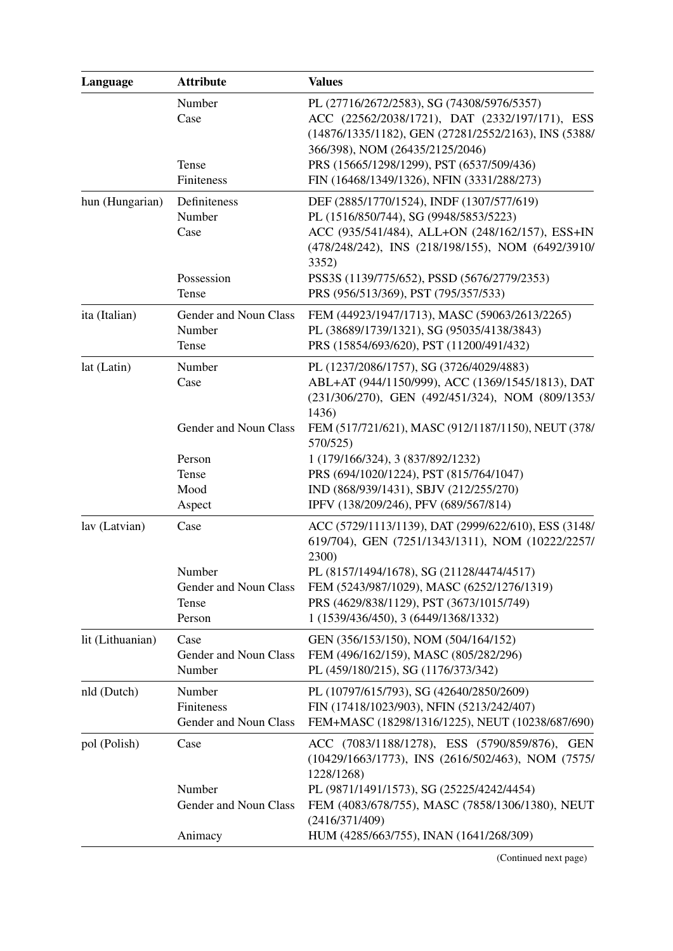| Language         | <b>Attribute</b>                                   | <b>Values</b>                                                                                                                                                                                                                        |
|------------------|----------------------------------------------------|--------------------------------------------------------------------------------------------------------------------------------------------------------------------------------------------------------------------------------------|
|                  | Number<br>Case<br>Tense                            | PL (27716/2672/2583), SG (74308/5976/5357)<br>ACC (22562/2038/1721), DAT (2332/197/171), ESS<br>(14876/1335/1182), GEN (27281/2552/2163), INS (5388/<br>366/398), NOM (26435/2125/2046)<br>PRS (15665/1298/1299), PST (6537/509/436) |
|                  | Finiteness                                         | FIN (16468/1349/1326), NFIN (3331/288/273)                                                                                                                                                                                           |
| hun (Hungarian)  | Definiteness<br>Number<br>Case                     | DEF (2885/1770/1524), INDF (1307/577/619)<br>PL (1516/850/744), SG (9948/5853/5223)<br>ACC (935/541/484), ALL+ON (248/162/157), ESS+IN<br>(478/248/242), INS (218/198/155), NOM (6492/3910/<br>3352)                                 |
|                  | Possession<br>Tense                                | PSS3S (1139/775/652), PSSD (5676/2779/2353)<br>PRS (956/513/369), PST (795/357/533)                                                                                                                                                  |
| ita (Italian)    | Gender and Noun Class<br>Number<br>Tense           | FEM (44923/1947/1713), MASC (59063/2613/2265)<br>PL (38689/1739/1321), SG (95035/4138/3843)<br>PRS (15854/693/620), PST (11200/491/432)                                                                                              |
| lat (Latin)      | Number<br>Case                                     | PL (1237/2086/1757), SG (3726/4029/4883)<br>ABL+AT (944/1150/999), ACC (1369/1545/1813), DAT<br>(231/306/270), GEN (492/451/324), NOM (809/1353/<br>1436)                                                                            |
|                  | Gender and Noun Class                              | FEM (517/721/621), MASC (912/1187/1150), NEUT (378/<br>570/525)                                                                                                                                                                      |
|                  | Person<br>Tense<br>Mood<br>Aspect                  | 1 (179/166/324), 3 (837/892/1232)<br>PRS (694/1020/1224), PST (815/764/1047)<br>IND (868/939/1431), SBJV (212/255/270)<br>IPFV (138/209/246), PFV (689/567/814)                                                                      |
| lav (Latvian)    | Case                                               | ACC (5729/1113/1139), DAT (2999/622/610), ESS (3148/<br>619/704), GEN (7251/1343/1311), NOM (10222/2257/<br>2300)                                                                                                                    |
|                  | Number<br>Gender and Noun Class<br>Tense<br>Person | PL (8157/1494/1678), SG (21128/4474/4517)<br>FEM (5243/987/1029), MASC (6252/1276/1319)<br>PRS (4629/838/1129), PST (3673/1015/749)<br>1 (1539/436/450), 3 (6449/1368/1332)                                                          |
| lit (Lithuanian) | Case<br>Gender and Noun Class<br>Number            | GEN (356/153/150), NOM (504/164/152)<br>FEM (496/162/159), MASC (805/282/296)<br>PL (459/180/215), SG (1176/373/342)                                                                                                                 |
| nld (Dutch)      | Number<br>Finiteness<br>Gender and Noun Class      | PL (10797/615/793), SG (42640/2850/2609)<br>FIN (17418/1023/903), NFIN (5213/242/407)<br>FEM+MASC (18298/1316/1225), NEUT (10238/687/690)                                                                                            |
| pol (Polish)     | Case                                               | ACC (7083/1188/1278), ESS (5790/859/876),<br><b>GEN</b><br>(10429/1663/1773), INS (2616/502/463), NOM (7575/<br>1228/1268)                                                                                                           |
|                  | Number<br>Gender and Noun Class                    | PL (9871/1491/1573), SG (25225/4242/4454)<br>FEM (4083/678/755), MASC (7858/1306/1380), NEUT<br>(2416/371/409)                                                                                                                       |
|                  | Animacy                                            | HUM (4285/663/755), INAN (1641/268/309)                                                                                                                                                                                              |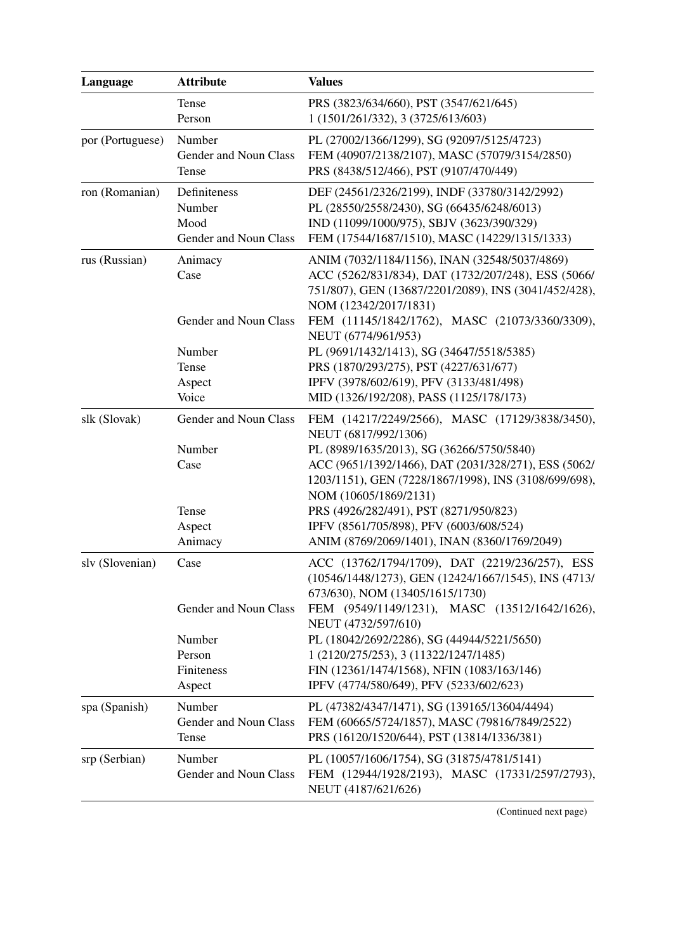| Language         | <b>Attribute</b>                                                          | <b>Values</b>                                                                                                                                                                                                                                                                                                                                                                                      |
|------------------|---------------------------------------------------------------------------|----------------------------------------------------------------------------------------------------------------------------------------------------------------------------------------------------------------------------------------------------------------------------------------------------------------------------------------------------------------------------------------------------|
|                  | Tense<br>Person                                                           | PRS (3823/634/660), PST (3547/621/645)<br>1 (1501/261/332), 3 (3725/613/603)                                                                                                                                                                                                                                                                                                                       |
| por (Portuguese) | Number<br>Gender and Noun Class<br>Tense                                  | PL (27002/1366/1299), SG (92097/5125/4723)<br>FEM (40907/2138/2107), MASC (57079/3154/2850)<br>PRS (8438/512/466), PST (9107/470/449)                                                                                                                                                                                                                                                              |
| ron (Romanian)   | Definiteness<br>Number<br>Mood<br>Gender and Noun Class                   | DEF (24561/2326/2199), INDF (33780/3142/2992)<br>PL (28550/2558/2430), SG (66435/6248/6013)<br>IND (11099/1000/975), SBJV (3623/390/329)<br>FEM (17544/1687/1510), MASC (14229/1315/1333)                                                                                                                                                                                                          |
| rus (Russian)    | Animacy<br>Case                                                           | ANIM (7032/1184/1156), INAN (32548/5037/4869)<br>ACC (5262/831/834), DAT (1732/207/248), ESS (5066/<br>751/807), GEN (13687/2201/2089), INS (3041/452/428),<br>NOM (12342/2017/1831)                                                                                                                                                                                                               |
|                  | Gender and Noun Class<br>Number<br>Tense<br>Aspect<br>Voice               | FEM (11145/1842/1762), MASC (21073/3360/3309),<br>NEUT (6774/961/953)<br>PL (9691/1432/1413), SG (34647/5518/5385)<br>PRS (1870/293/275), PST (4227/631/677)<br>IPFV (3978/602/619), PFV (3133/481/498)<br>MID (1326/192/208), PASS (1125/178/173)                                                                                                                                                 |
| slk (Slovak)     | Gender and Noun Class<br>Number<br>Case<br>Tense<br>Aspect<br>Animacy     | FEM (14217/2249/2566), MASC (17129/3838/3450),<br>NEUT (6817/992/1306)<br>PL (8989/1635/2013), SG (36266/5750/5840)<br>ACC (9651/1392/1466), DAT (2031/328/271), ESS (5062/<br>1203/1151), GEN (7228/1867/1998), INS (3108/699/698),<br>NOM (10605/1869/2131)<br>PRS (4926/282/491), PST (8271/950/823)<br>IPFV (8561/705/898), PFV (6003/608/524)<br>ANIM (8769/2069/1401), INAN (8360/1769/2049) |
| slv (Slovenian)  | Case<br>Gender and Noun Class<br>Number<br>Person<br>Finiteness<br>Aspect | ACC (13762/1794/1709), DAT (2219/236/257), ESS<br>(10546/1448/1273), GEN (12424/1667/1545), INS (4713/<br>673/630), NOM (13405/1615/1730)<br>FEM (9549/1149/1231), MASC (13512/1642/1626),<br>NEUT (4732/597/610)<br>PL (18042/2692/2286), SG (44944/5221/5650)<br>1 (2120/275/253), 3 (11322/1247/1485)<br>FIN (12361/1474/1568), NFIN (1083/163/146)<br>IPFV (4774/580/649), PFV (5233/602/623)  |
| spa (Spanish)    | Number<br>Gender and Noun Class<br>Tense                                  | PL (47382/4347/1471), SG (139165/13604/4494)<br>FEM (60665/5724/1857), MASC (79816/7849/2522)<br>PRS (16120/1520/644), PST (13814/1336/381)                                                                                                                                                                                                                                                        |
| srp (Serbian)    | Number<br>Gender and Noun Class                                           | PL (10057/1606/1754), SG (31875/4781/5141)<br>FEM (12944/1928/2193), MASC (17331/2597/2793),<br>NEUT (4187/621/626)                                                                                                                                                                                                                                                                                |